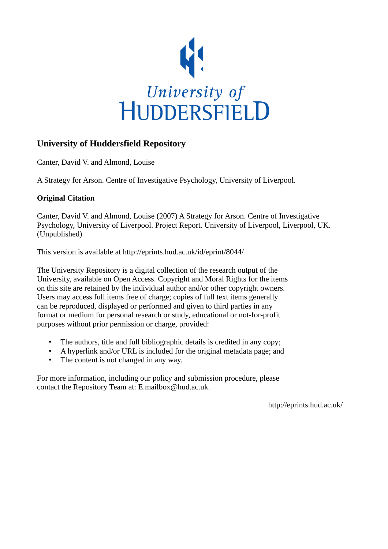

# **University of Huddersfield Repository**

Canter, David V. and Almond, Louise

A Strategy for Arson. Centre of Investigative Psychology, University of Liverpool.

# **Original Citation**

Canter, David V. and Almond, Louise (2007) A Strategy for Arson. Centre of Investigative Psychology, University of Liverpool. Project Report. University of Liverpool, Liverpool, UK. (Unpublished)

This version is available at http://eprints.hud.ac.uk/id/eprint/8044/

The University Repository is a digital collection of the research output of the University, available on Open Access. Copyright and Moral Rights for the items on this site are retained by the individual author and/or other copyright owners. Users may access full items free of charge; copies of full text items generally can be reproduced, displayed or performed and given to third parties in any format or medium for personal research or study, educational or not-for-profit purposes without prior permission or charge, provided:

- The authors, title and full bibliographic details is credited in any copy;
- A hyperlink and/or URL is included for the original metadata page; and
- The content is not changed in any way.

For more information, including our policy and submission procedure, please contact the Repository Team at: E.mailbox@hud.ac.uk.

http://eprints.hud.ac.uk/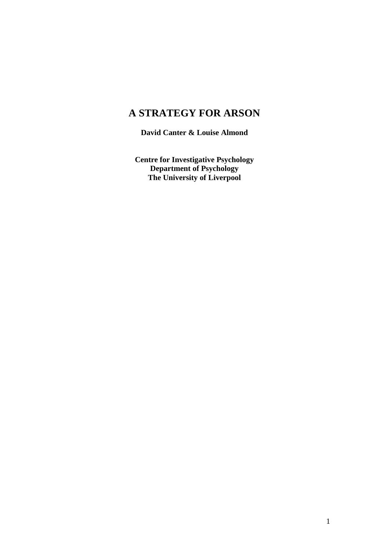# **A STRATEGY FOR ARSON**

**David Canter & Louise Almond**

**Centre for Investigative Psychology Department of Psychology The University of Liverpool**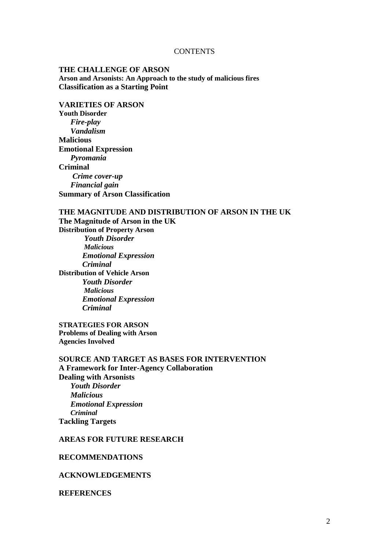#### **CONTENTS**

#### **THE CHALLENGE OF ARSON Arson and Arsonists: An Approach to the study of malicious fires Classification as a Starting Point**

# **VARIETIES OF ARSON**

**Youth Disorder** *Fire-play Vandalism* **Malicious Emotional Expression**  *Pyromania* **Criminal**  *Crime cover-up Financial gain* **Summary of Arson Classification**

#### **THE MAGNITUDE AND DISTRIBUTION OF ARSON IN THE UK**

**The Magnitude of Arson in the UK Distribution of Property Arson** *Youth Disorder Malicious Emotional Expression Criminal* **Distribution of Vehicle Arson** *Youth Disorder Malicious Emotional Expression Criminal*

**STRATEGIES FOR ARSON Problems of Dealing with Arson Agencies Involved**

**SOURCE AND TARGET AS BASES FOR INTERVENTION A Framework for Inter-Agency Collaboration Dealing with Arsonists** *Youth Disorder Malicious Emotional Expression Criminal* **Tackling Targets**

#### **AREAS FOR FUTURE RESEARCH**

#### **RECOMMENDATIONS**

#### **ACKNOWLEDGEMENTS**

#### **REFERENCES**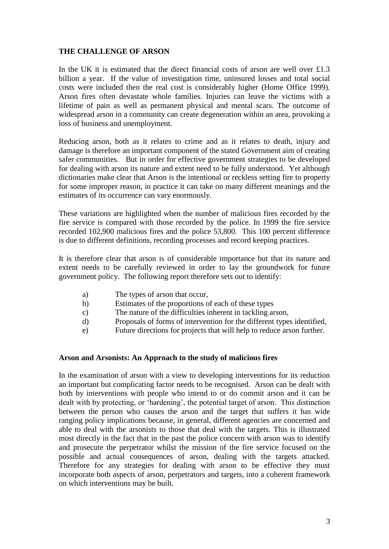### **THE CHALLENGE OF ARSON**

In the UK it is estimated that the direct financial costs of arson are well over  $£1.3$ billion a year. If the value of investigation time, uninsured losses and total social costs were included then the real cost is considerably higher (Home Office 1999). Arson fires often devastate whole families. Injuries can leave the victims with a lifetime of pain as well as permanent physical and mental scars. The outcome of widespread arson in a community can create degeneration within an area, provoking a loss of business and unemployment.

Reducing arson, both as it relates to crime and as it relates to death, injury and damage is therefore an important component of the stated Government aim of creating safer communities. But in order for effective government strategies to be developed for dealing with arson its nature and extent need to be fully understood. Yet although dictionaries make clear that Arson is the intentional or reckless setting fire to property for some improper reason, in practice it can take on many different meanings and the estimates of its occurrence can vary enormously.

These variations are highlighted when the number of malicious fires recorded by the fire service is compared with those recorded by the police. In 1999 the fire service recorded 102,900 malicious fires and the police 53,800. This 100 percent difference is due to different definitions, recording processes and record keeping practices.

It is therefore clear that arson is of considerable importance but that its nature and extent needs to be carefully reviewed in order to lay the groundwork for future government policy. The following report therefore sets out to identify:

- a) The types of arson that occur,
- b) Estimates of the proportions of each of these types
- c) The nature of the difficulties inherent in tackling arson,
- d) Proposals of forms of intervention for the different types identified,
- e) Future directions for projects that will help to reduce arson further.

#### **Arson and Arsonists: An Approach to the study of malicious fires**

In the examination of arson with a view to developing interventions for its reduction an important but complicating factor needs to be recognised. Arson can be dealt with both by interventions with people who intend to or do commit arson and it can be dealt with by protecting, or "hardening", the potential target of arson. This distinction between the person who causes the arson and the target that suffers it has wide ranging policy implications because, in general, different agencies are concerned and able to deal with the arsonists to those that deal with the targets. This is illustrated most directly in the fact that in the past the police concern with arson was to identify and prosecute the perpetrator whilst the mission of the fire service focused on the possible and actual consequences of arson, dealing with the targets attacked. Therefore for any strategies for dealing with arson to be effective they must incorporate both aspects of arson, perpetrators and targets, into a coherent framework on which interventions may be built.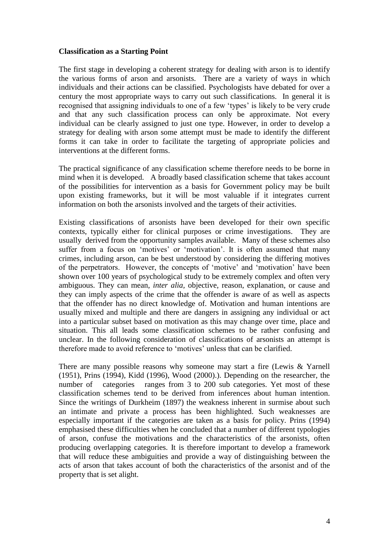#### **Classification as a Starting Point**

The first stage in developing a coherent strategy for dealing with arson is to identify the various forms of arson and arsonists. There are a variety of ways in which individuals and their actions can be classified. Psychologists have debated for over a century the most appropriate ways to carry out such classifications. In general it is recognised that assigning individuals to one of a few "types" is likely to be very crude and that any such classification process can only be approximate. Not every individual can be clearly assigned to just one type. However, in order to develop a strategy for dealing with arson some attempt must be made to identify the different forms it can take in order to facilitate the targeting of appropriate policies and interventions at the different forms.

The practical significance of any classification scheme therefore needs to be borne in mind when it is developed. A broadly based classification scheme that takes account of the possibilities for intervention as a basis for Government policy may be built upon existing frameworks, but it will be most valuable if it integrates current information on both the arsonists involved and the targets of their activities.

Existing classifications of arsonists have been developed for their own specific contexts, typically either for clinical purposes or crime investigations. They are usually derived from the opportunity samples available. Many of these schemes also suffer from a focus on 'motives' or 'motivation'. It is often assumed that many crimes, including arson, can be best understood by considering the differing motives of the perpetrators. However, the concepts of "motive" and "motivation" have been shown over 100 years of psychological study to be extremely complex and often very ambiguous. They can mean, *inter alia,* objective, reason, explanation, or cause and they can imply aspects of the crime that the offender is aware of as well as aspects that the offender has no direct knowledge of. Motivation and human intentions are usually mixed and multiple and there are dangers in assigning any individual or act into a particular subset based on motivation as this may change over time, place and situation. This all leads some classification schemes to be rather confusing and unclear. In the following consideration of classifications of arsonists an attempt is therefore made to avoid reference to "motives" unless that can be clarified.

There are many possible reasons why someone may start a fire (Lewis & Yarnell (1951), Prins (1994), Kidd (1996), Wood (2000).). Depending on the researcher, the number of categories ranges from 3 to 200 sub categories. Yet most of these classification schemes tend to be derived from inferences about human intention. Since the writings of Durkheim (1897) the weakness inherent in surmise about such an intimate and private a process has been highlighted. Such weaknesses are especially important if the categories are taken as a basis for policy. Prins (1994) emphasised these difficulties when he concluded that a number of different typologies of arson, confuse the motivations and the characteristics of the arsonists, often producing overlapping categories. It is therefore important to develop a framework that will reduce these ambiguities and provide a way of distinguishing between the acts of arson that takes account of both the characteristics of the arsonist and of the property that is set alight.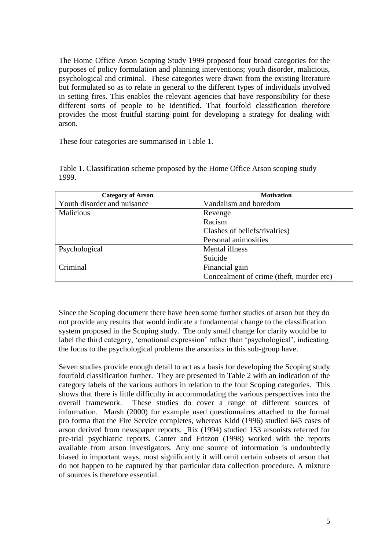The Home Office Arson Scoping Study 1999 proposed four broad categories for the purposes of policy formulation and planning interventions; youth disorder, malicious, psychological and criminal. These categories were drawn from the existing literature but formulated so as to relate in general to the different types of individuals involved in setting fires. This enables the relevant agencies that have responsibility for these different sorts of people to be identified. That fourfold classification therefore provides the most fruitful starting point for developing a strategy for dealing with arson.

These four categories are summarised in Table 1.

| <b>Category of Arson</b>    | <b>Motivation</b>                        |  |  |
|-----------------------------|------------------------------------------|--|--|
| Youth disorder and nuisance | Vandalism and boredom                    |  |  |
| <b>Malicious</b>            | Revenge                                  |  |  |
|                             | Racism                                   |  |  |
|                             | Clashes of beliefs/rivalries)            |  |  |
|                             | Personal animosities                     |  |  |
| Psychological               | Mental illness                           |  |  |
|                             | Suicide                                  |  |  |
| Criminal                    | Financial gain                           |  |  |
|                             | Concealment of crime (theft, murder etc) |  |  |

Table 1. Classification scheme proposed by the Home Office Arson scoping study 1999.

Since the Scoping document there have been some further studies of arson but they do not provide any results that would indicate a fundamental change to the classification system proposed in the Scoping study. The only small change for clarity would be to label the third category, 'emotional expression' rather than 'psychological', indicating the focus to the psychological problems the arsonists in this sub-group have.

Seven studies provide enough detail to act as a basis for developing the Scoping study fourfold classification further. They are presented in Table 2 with an indication of the category labels of the various authors in relation to the four Scoping categories. This shows that there is little difficulty in accommodating the various perspectives into the overall framework. These studies do cover a range of different sources of information. Marsh (2000) for example used questionnaires attached to the formal pro forma that the Fire Service completes, whereas Kidd (1996) studied 645 cases of arson derived from newspaper reports. Rix (1994) studied 153 arsonists referred for pre-trial psychiatric reports. Canter and Fritzon (1998) worked with the reports available from arson investigators. Any one source of information is undoubtedly biased in important ways, most significantly it will omit certain subsets of arson that do not happen to be captured by that particular data collection procedure. A mixture of sources is therefore essential.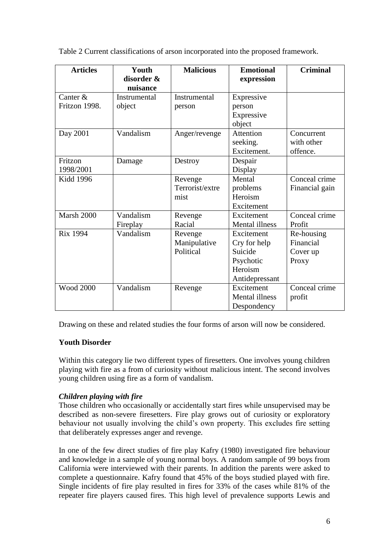Table 2 Current classifications of arson incorporated into the proposed framework.

| <b>Articles</b>             | Youth<br>disorder &<br>nuisance | <b>Malicious</b>                     | <b>Emotional</b><br>expression                                                  | <b>Criminal</b>                              |
|-----------------------------|---------------------------------|--------------------------------------|---------------------------------------------------------------------------------|----------------------------------------------|
| Canter $&$<br>Fritzon 1998. | Instrumental<br>object          | Instrumental<br>person               | Expressive<br>person<br>Expressive<br>object                                    |                                              |
| Day 2001                    | Vandalism                       | Anger/revenge                        | Attention<br>seeking.<br>Excitement.                                            | Concurrent<br>with other<br>offence.         |
| Fritzon<br>1998/2001        | Damage                          | Destroy                              | Despair<br>Display                                                              |                                              |
| <b>Kidd 1996</b>            |                                 | Revenge<br>Terrorist/extre<br>mist   | Mental<br>problems<br>Heroism<br>Excitement                                     | Conceal crime<br>Financial gain              |
| Marsh 2000                  | Vandalism<br>Fireplay           | Revenge<br>Racial                    | Excitement<br><b>Mental illness</b>                                             | Conceal crime<br>Profit                      |
| <b>Rix 1994</b>             | Vandalism                       | Revenge<br>Manipulative<br>Political | Excitement<br>Cry for help<br>Suicide<br>Psychotic<br>Heroism<br>Antidepressant | Re-housing<br>Financial<br>Cover up<br>Proxy |
| <b>Wood 2000</b>            | Vandalism                       | Revenge                              | Excitement<br><b>Mental illness</b><br>Despondency                              | Conceal crime<br>profit                      |

Drawing on these and related studies the four forms of arson will now be considered.

# **Youth Disorder**

Within this category lie two different types of firesetters. One involves young children playing with fire as a from of curiosity without malicious intent. The second involves young children using fire as a form of vandalism.

# *Children playing with fire*

Those children who occasionally or accidentally start fires while unsupervised may be described as non-severe firesetters. Fire play grows out of curiosity or exploratory behaviour not usually involving the child"s own property. This excludes fire setting that deliberately expresses anger and revenge.

In one of the few direct studies of fire play Kafry (1980) investigated fire behaviour and knowledge in a sample of young normal boys. A random sample of 99 boys from California were interviewed with their parents. In addition the parents were asked to complete a questionnaire. Kafry found that 45% of the boys studied played with fire. Single incidents of fire play resulted in fires for 33% of the cases while 81% of the repeater fire players caused fires. This high level of prevalence supports Lewis and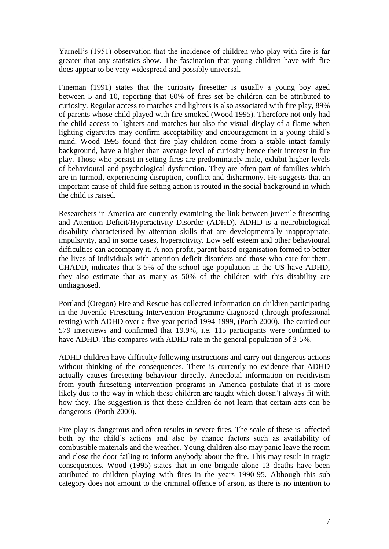Yarnell"s (1951) observation that the incidence of children who play with fire is far greater that any statistics show. The fascination that young children have with fire does appear to be very widespread and possibly universal.

Fineman (1991) states that the curiosity firesetter is usually a young boy aged between 5 and 10, reporting that 60% of fires set be children can be attributed to curiosity. Regular access to matches and lighters is also associated with fire play, 89% of parents whose child played with fire smoked (Wood 1995). Therefore not only had the child access to lighters and matches but also the visual display of a flame when lighting cigarettes may confirm acceptability and encouragement in a young child"s mind. Wood 1995 found that fire play children come from a stable intact family background, have a higher than average level of curiosity hence their interest in fire play. Those who persist in setting fires are predominately male, exhibit higher levels of behavioural and psychological dysfunction. They are often part of families which are in turmoil, experiencing disruption, conflict and disharmony. He suggests that an important cause of child fire setting action is routed in the social background in which the child is raised.

Researchers in America are currently examining the link between juvenile firesetting and Attention Deficit/Hyperactivity Disorder (ADHD). ADHD is a neurobiological disability characterised by attention skills that are developmentally inappropriate, impulsivity, and in some cases, hyperactivity. Low self esteem and other behavioural difficulties can accompany it. A non-profit, parent based organisation formed to better the lives of individuals with attention deficit disorders and those who care for them, CHADD, indicates that 3-5% of the school age population in the US have ADHD, they also estimate that as many as 50% of the children with this disability are undiagnosed.

Portland (Oregon) Fire and Rescue has collected information on children participating in the Juvenile Firesetting Intervention Programme diagnosed (through professional testing) with ADHD over a five year period 1994-1999, (Porth 2000). The carried out 579 interviews and confirmed that 19.9%, i.e. 115 participants were confirmed to have ADHD. This compares with ADHD rate in the general population of 3-5%.

ADHD children have difficulty following instructions and carry out dangerous actions without thinking of the consequences. There is currently no evidence that ADHD actually causes firesetting behaviour directly. Anecdotal information on recidivism from youth firesetting intervention programs in America postulate that it is more likely due to the way in which these children are taught which doesn't always fit with how they. The suggestion is that these children do not learn that certain acts can be dangerous (Porth 2000).

Fire-play is dangerous and often results in severe fires. The scale of these is affected both by the child"s actions and also by chance factors such as availability of combustible materials and the weather. Young children also may panic leave the room and close the door failing to inform anybody about the fire. This may result in tragic consequences. Wood (1995) states that in one brigade alone 13 deaths have been attributed to children playing with fires in the years 1990-95. Although this sub category does not amount to the criminal offence of arson, as there is no intention to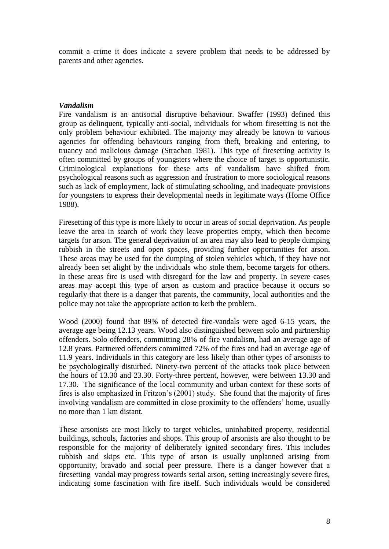commit a crime it does indicate a severe problem that needs to be addressed by parents and other agencies.

### *Vandalism*

Fire vandalism is an antisocial disruptive behaviour. Swaffer (1993) defined this group as delinquent, typically anti-social, individuals for whom firesetting is not the only problem behaviour exhibited. The majority may already be known to various agencies for offending behaviours ranging from theft, breaking and entering, to truancy and malicious damage (Strachan 1981). This type of firesetting activity is often committed by groups of youngsters where the choice of target is opportunistic. Criminological explanations for these acts of vandalism have shifted from psychological reasons such as aggression and frustration to more sociological reasons such as lack of employment, lack of stimulating schooling, and inadequate provisions for youngsters to express their developmental needs in legitimate ways (Home Office 1988).

Firesetting of this type is more likely to occur in areas of social deprivation. As people leave the area in search of work they leave properties empty, which then become targets for arson. The general deprivation of an area may also lead to people dumping rubbish in the streets and open spaces, providing further opportunities for arson. These areas may be used for the dumping of stolen vehicles which, if they have not already been set alight by the individuals who stole them, become targets for others. In these areas fire is used with disregard for the law and property. In severe cases areas may accept this type of arson as custom and practice because it occurs so regularly that there is a danger that parents, the community, local authorities and the police may not take the appropriate action to kerb the problem.

Wood (2000) found that 89% of detected fire-vandals were aged 6-15 years, the average age being 12.13 years. Wood also distinguished between solo and partnership offenders. Solo offenders, committing 28% of fire vandalism, had an average age of 12.8 years. Partnered offenders committed 72% of the fires and had an average age of 11.9 years. Individuals in this category are less likely than other types of arsonists to be psychologically disturbed. Ninety-two percent of the attacks took place between the hours of 13.30 and 23.30. Forty-three percent, however, were between 13.30 and 17.30. The significance of the local community and urban context for these sorts of fires is also emphasized in Fritzon's (2001) study. She found that the majority of fires involving vandalism are committed in close proximity to the offenders' home, usually no more than 1 km distant.

These arsonists are most likely to target vehicles, uninhabited property, residential buildings, schools, factories and shops. This group of arsonists are also thought to be responsible for the majority of deliberately ignited secondary fires. This includes rubbish and skips etc. This type of arson is usually unplanned arising from opportunity, bravado and social peer pressure. There is a danger however that a firesetting vandal may progress towards serial arson, setting increasingly severe fires, indicating some fascination with fire itself. Such individuals would be considered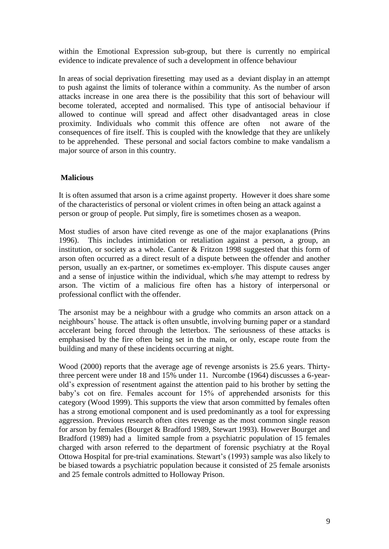within the Emotional Expression sub-group, but there is currently no empirical evidence to indicate prevalence of such a development in offence behaviour

In areas of social deprivation firesetting may used as a deviant display in an attempt to push against the limits of tolerance within a community. As the number of arson attacks increase in one area there is the possibility that this sort of behaviour will become tolerated, accepted and normalised. This type of antisocial behaviour if allowed to continue will spread and affect other disadvantaged areas in close proximity. Individuals who commit this offence are often not aware of the consequences of fire itself. This is coupled with the knowledge that they are unlikely to be apprehended. These personal and social factors combine to make vandalism a major source of arson in this country.

## **Malicious**

It is often assumed that arson is a crime against property. However it does share some of the characteristics of personal or violent crimes in often being an attack against a person or group of people. Put simply, fire is sometimes chosen as a weapon.

Most studies of arson have cited revenge as one of the major exaplanations (Prins 1996). This includes intimidation or retaliation against a person, a group, an institution, or society as a whole. Canter & Fritzon 1998 suggested that this form of arson often occurred as a direct result of a dispute between the offender and another person, usually an ex-partner, or sometimes ex-employer. This dispute causes anger and a sense of injustice within the individual, which s/he may attempt to redress by arson. The victim of a malicious fire often has a history of interpersonal or professional conflict with the offender.

The arsonist may be a neighbour with a grudge who commits an arson attack on a neighbours" house. The attack is often unsubtle, involving burning paper or a standard accelerant being forced through the letterbox. The seriousness of these attacks is emphasised by the fire often being set in the main, or only, escape route from the building and many of these incidents occurring at night.

Wood (2000) reports that the average age of revenge arsonists is 25.6 years. Thirtythree percent were under 18 and 15% under 11. Nurcombe (1964) discusses a 6-yearold"s expression of resentment against the attention paid to his brother by setting the baby"s cot on fire. Females account for 15% of apprehended arsonists for this category (Wood 1999). This supports the view that arson committed by females often has a strong emotional component and is used predominantly as a tool for expressing aggression. Previous research often cites revenge as the most common single reason for arson by females (Bourget & Bradford 1989, Stewart 1993). However Bourget and Bradford (1989) had a limited sample from a psychiatric population of 15 females charged with arson referred to the department of forensic psychiatry at the Royal Ottowa Hospital for pre-trial examinations. Stewart"s (1993) sample was also likely to be biased towards a psychiatric population because it consisted of 25 female arsonists and 25 female controls admitted to Holloway Prison.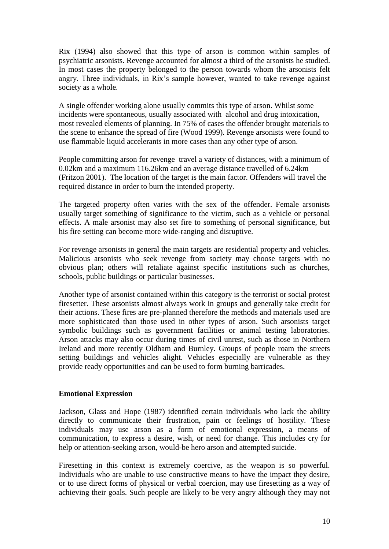Rix (1994) also showed that this type of arson is common within samples of psychiatric arsonists. Revenge accounted for almost a third of the arsonists he studied. In most cases the property belonged to the person towards whom the arsonists felt angry. Three individuals, in Rix"s sample however, wanted to take revenge against society as a whole.

A single offender working alone usually commits this type of arson. Whilst some incidents were spontaneous, usually associated with alcohol and drug intoxication, most revealed elements of planning. In 75% of cases the offender brought materials to the scene to enhance the spread of fire (Wood 1999). Revenge arsonists were found to use flammable liquid accelerants in more cases than any other type of arson.

People committing arson for revenge travel a variety of distances, with a minimum of 0.02km and a maximum 116.26km and an average distance travelled of 6.24km (Fritzon 2001). The location of the target is the main factor. Offenders will travel the required distance in order to burn the intended property.

The targeted property often varies with the sex of the offender. Female arsonists usually target something of significance to the victim, such as a vehicle or personal effects. A male arsonist may also set fire to something of personal significance, but his fire setting can become more wide-ranging and disruptive.

For revenge arsonists in general the main targets are residential property and vehicles. Malicious arsonists who seek revenge from society may choose targets with no obvious plan; others will retaliate against specific institutions such as churches, schools, public buildings or particular businesses.

Another type of arsonist contained within this category is the terrorist or social protest firesetter. These arsonists almost always work in groups and generally take credit for their actions. These fires are pre-planned therefore the methods and materials used are more sophisticated than those used in other types of arson. Such arsonists target symbolic buildings such as government facilities or animal testing laboratories. Arson attacks may also occur during times of civil unrest, such as those in Northern Ireland and more recently Oldham and Burnley. Groups of people roam the streets setting buildings and vehicles alight. Vehicles especially are vulnerable as they provide ready opportunities and can be used to form burning barricades.

#### **Emotional Expression**

Jackson, Glass and Hope (1987) identified certain individuals who lack the ability directly to communicate their frustration, pain or feelings of hostility. These individuals may use arson as a form of emotional expression, a means of communication, to express a desire, wish, or need for change. This includes cry for help or attention-seeking arson, would-be hero arson and attempted suicide.

Firesetting in this context is extremely coercive, as the weapon is so powerful. Individuals who are unable to use constructive means to have the impact they desire, or to use direct forms of physical or verbal coercion, may use firesetting as a way of achieving their goals. Such people are likely to be very angry although they may not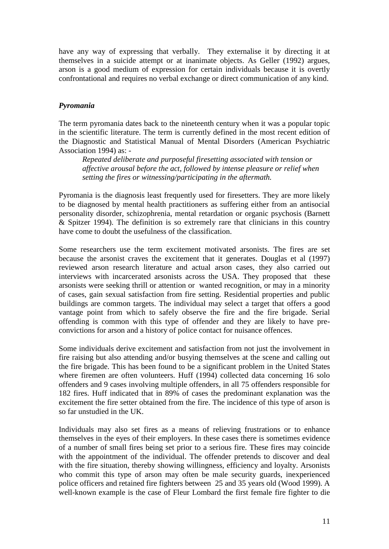have any way of expressing that verbally. They externalise it by directing it at themselves in a suicide attempt or at inanimate objects. As Geller (1992) argues, arson is a good medium of expression for certain individuals because it is overtly confrontational and requires no verbal exchange or direct communication of any kind.

#### *Pyromania*

The term pyromania dates back to the nineteenth century when it was a popular topic in the scientific literature. The term is currently defined in the most recent edition of the Diagnostic and Statistical Manual of Mental Disorders (American Psychiatric Association 1994) as: -

*Repeated deliberate and purposeful firesetting associated with tension or affective arousal before the act, followed by intense pleasure or relief when setting the fires or witnessing/participating in the aftermath.*

Pyromania is the diagnosis least frequently used for firesetters. They are more likely to be diagnosed by mental health practitioners as suffering either from an antisocial personality disorder, schizophrenia, mental retardation or organic psychosis (Barnett & Spitzer 1994). The definition is so extremely rare that clinicians in this country have come to doubt the usefulness of the classification.

Some researchers use the term excitement motivated arsonists. The fires are set because the arsonist craves the excitement that it generates. Douglas et al (1997) reviewed arson research literature and actual arson cases, they also carried out interviews with incarcerated arsonists across the USA. They proposed that these arsonists were seeking thrill or attention or wanted recognition, or may in a minority of cases, gain sexual satisfaction from fire setting. Residential properties and public buildings are common targets. The individual may select a target that offers a good vantage point from which to safely observe the fire and the fire brigade. Serial offending is common with this type of offender and they are likely to have preconvictions for arson and a history of police contact for nuisance offences.

Some individuals derive excitement and satisfaction from not just the involvement in fire raising but also attending and/or busying themselves at the scene and calling out the fire brigade. This has been found to be a significant problem in the United States where firemen are often volunteers. Huff (1994) collected data concerning 16 solo offenders and 9 cases involving multiple offenders, in all 75 offenders responsible for 182 fires. Huff indicated that in 89% of cases the predominant explanation was the excitement the fire setter obtained from the fire. The incidence of this type of arson is so far unstudied in the UK.

Individuals may also set fires as a means of relieving frustrations or to enhance themselves in the eyes of their employers. In these cases there is sometimes evidence of a number of small fires being set prior to a serious fire. These fires may coincide with the appointment of the individual. The offender pretends to discover and deal with the fire situation, thereby showing willingness, efficiency and loyalty. Arsonists who commit this type of arson may often be male security guards, inexperienced police officers and retained fire fighters between 25 and 35 years old (Wood 1999). A well-known example is the case of Fleur Lombard the first female fire fighter to die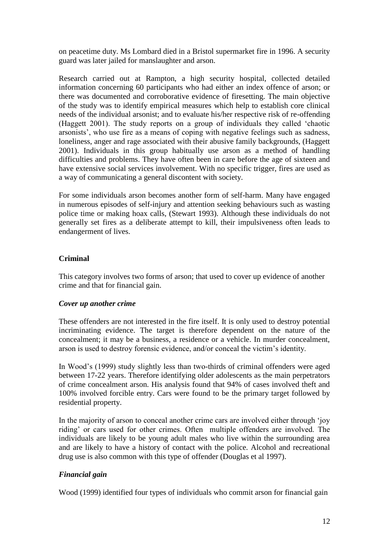on peacetime duty. Ms Lombard died in a Bristol supermarket fire in 1996. A security guard was later jailed for manslaughter and arson.

Research carried out at Rampton, a high security hospital, collected detailed information concerning 60 participants who had either an index offence of arson; or there was documented and corroborative evidence of firesetting. The main objective of the study was to identify empirical measures which help to establish core clinical needs of the individual arsonist; and to evaluate his/her respective risk of re-offending (Haggett 2001). The study reports on a group of individuals they called "chaotic arsonists", who use fire as a means of coping with negative feelings such as sadness, loneliness, anger and rage associated with their abusive family backgrounds, (Haggett 2001). Individuals in this group habitually use arson as a method of handling difficulties and problems. They have often been in care before the age of sixteen and have extensive social services involvement. With no specific trigger, fires are used as a way of communicating a general discontent with society.

For some individuals arson becomes another form of self-harm. Many have engaged in numerous episodes of self-injury and attention seeking behaviours such as wasting police time or making hoax calls, (Stewart 1993). Although these individuals do not generally set fires as a deliberate attempt to kill, their impulsiveness often leads to endangerment of lives.

## **Criminal**

This category involves two forms of arson; that used to cover up evidence of another crime and that for financial gain.

## *Cover up another crime*

These offenders are not interested in the fire itself. It is only used to destroy potential incriminating evidence. The target is therefore dependent on the nature of the concealment; it may be a business, a residence or a vehicle. In murder concealment, arson is used to destroy forensic evidence, and/or conceal the victim"s identity.

In Wood"s (1999) study slightly less than two-thirds of criminal offenders were aged between 17-22 years. Therefore identifying older adolescents as the main perpetrators of crime concealment arson. His analysis found that 94% of cases involved theft and 100% involved forcible entry. Cars were found to be the primary target followed by residential property.

In the majority of arson to conceal another crime cars are involved either through "joy riding" or cars used for other crimes. Often multiple offenders are involved. The individuals are likely to be young adult males who live within the surrounding area and are likely to have a history of contact with the police. Alcohol and recreational drug use is also common with this type of offender (Douglas et al 1997).

# *Financial gain*

Wood (1999) identified four types of individuals who commit arson for financial gain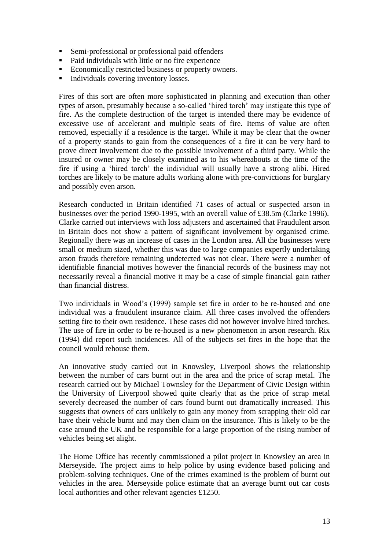- Semi-professional or professional paid offenders
- Paid individuals with little or no fire experience
- Economically restricted business or property owners.
- Individuals covering inventory losses.

Fires of this sort are often more sophisticated in planning and execution than other types of arson, presumably because a so-called "hired torch" may instigate this type of fire. As the complete destruction of the target is intended there may be evidence of excessive use of accelerant and multiple seats of fire. Items of value are often removed, especially if a residence is the target. While it may be clear that the owner of a property stands to gain from the consequences of a fire it can be very hard to prove direct involvement due to the possible involvement of a third party. While the insured or owner may be closely examined as to his whereabouts at the time of the fire if using a "hired torch" the individual will usually have a strong alibi. Hired torches are likely to be mature adults working alone with pre-convictions for burglary and possibly even arson.

Research conducted in Britain identified 71 cases of actual or suspected arson in businesses over the period 1990-1995, with an overall value of £38.5m (Clarke 1996). Clarke carried out interviews with loss adjusters and ascertained that Fraudulent arson in Britain does not show a pattern of significant involvement by organised crime. Regionally there was an increase of cases in the London area. All the businesses were small or medium sized, whether this was due to large companies expertly undertaking arson frauds therefore remaining undetected was not clear. There were a number of identifiable financial motives however the financial records of the business may not necessarily reveal a financial motive it may be a case of simple financial gain rather than financial distress.

Two individuals in Wood"s (1999) sample set fire in order to be re-housed and one individual was a fraudulent insurance claim. All three cases involved the offenders setting fire to their own residence. These cases did not however involve hired torches. The use of fire in order to be re-housed is a new phenomenon in arson research. Rix (1994) did report such incidences. All of the subjects set fires in the hope that the council would rehouse them.

An innovative study carried out in Knowsley, Liverpool shows the relationship between the number of cars burnt out in the area and the price of scrap metal. The research carried out by Michael Townsley for the Department of Civic Design within the University of Liverpool showed quite clearly that as the price of scrap metal severely decreased the number of cars found burnt out dramatically increased. This suggests that owners of cars unlikely to gain any money from scrapping their old car have their vehicle burnt and may then claim on the insurance. This is likely to be the case around the UK and be responsible for a large proportion of the rising number of vehicles being set alight.

The Home Office has recently commissioned a pilot project in Knowsley an area in Merseyside. The project aims to help police by using evidence based policing and problem-solving techniques. One of the crimes examined is the problem of burnt out vehicles in the area. Merseyside police estimate that an average burnt out car costs local authorities and other relevant agencies £1250.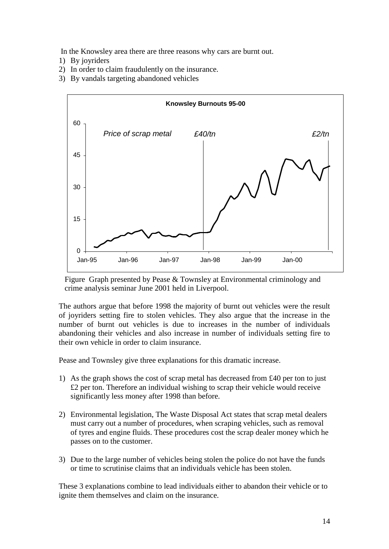In the Knowsley area there are three reasons why cars are burnt out.

- 1) By joyriders
- 2) In order to claim fraudulently on the insurance.
- 3) By vandals targeting abandoned vehicles



Figure Graph presented by Pease & Townsley at Environmental criminology and crime analysis seminar June 2001 held in Liverpool.

The authors argue that before 1998 the majority of burnt out vehicles were the result of joyriders setting fire to stolen vehicles. They also argue that the increase in the number of burnt out vehicles is due to increases in the number of individuals abandoning their vehicles and also increase in number of individuals setting fire to their own vehicle in order to claim insurance.

Pease and Townsley give three explanations for this dramatic increase.

- 1) As the graph shows the cost of scrap metal has decreased from  $\text{\pounds}40$  per ton to just £2 per ton. Therefore an individual wishing to scrap their vehicle would receive significantly less money after 1998 than before.
- 2) Environmental legislation, The Waste Disposal Act states that scrap metal dealers must carry out a number of procedures, when scraping vehicles, such as removal of tyres and engine fluids. These procedures cost the scrap dealer money which he passes on to the customer.
- 3) Due to the large number of vehicles being stolen the police do not have the funds or time to scrutinise claims that an individuals vehicle has been stolen.

These 3 explanations combine to lead individuals either to abandon their vehicle or to ignite them themselves and claim on the insurance.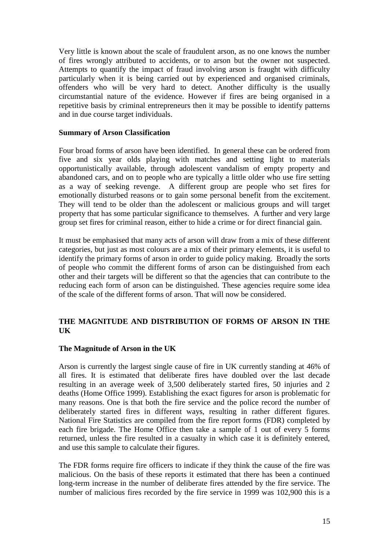Very little is known about the scale of fraudulent arson, as no one knows the number of fires wrongly attributed to accidents, or to arson but the owner not suspected. Attempts to quantify the impact of fraud involving arson is fraught with difficulty particularly when it is being carried out by experienced and organised criminals, offenders who will be very hard to detect. Another difficulty is the usually circumstantial nature of the evidence. However if fires are being organised in a repetitive basis by criminal entrepreneurs then it may be possible to identify patterns and in due course target individuals.

### **Summary of Arson Classification**

Four broad forms of arson have been identified. In general these can be ordered from five and six year olds playing with matches and setting light to materials opportunistically available, through adolescent vandalism of empty property and abandoned cars, and on to people who are typically a little older who use fire setting as a way of seeking revenge. A different group are people who set fires for emotionally disturbed reasons or to gain some personal benefit from the excitement. They will tend to be older than the adolescent or malicious groups and will target property that has some particular significance to themselves. A further and very large group set fires for criminal reason, either to hide a crime or for direct financial gain.

It must be emphasised that many acts of arson will draw from a mix of these different categories, but just as most colours are a mix of their primary elements, it is useful to identify the primary forms of arson in order to guide policy making. Broadly the sorts of people who commit the different forms of arson can be distinguished from each other and their targets will be different so that the agencies that can contribute to the reducing each form of arson can be distinguished. These agencies require some idea of the scale of the different forms of arson. That will now be considered.

## **THE MAGNITUDE AND DISTRIBUTION OF FORMS OF ARSON IN THE UK**

#### **The Magnitude of Arson in the UK**

Arson is currently the largest single cause of fire in UK currently standing at 46% of all fires. It is estimated that deliberate fires have doubled over the last decade resulting in an average week of 3,500 deliberately started fires, 50 injuries and 2 deaths (Home Office 1999). Establishing the exact figures for arson is problematic for many reasons. One is that both the fire service and the police record the number of deliberately started fires in different ways, resulting in rather different figures. National Fire Statistics are compiled from the fire report forms (FDR) completed by each fire brigade. The Home Office then take a sample of 1 out of every 5 forms returned, unless the fire resulted in a casualty in which case it is definitely entered, and use this sample to calculate their figures.

The FDR forms require fire officers to indicate if they think the cause of the fire was malicious. On the basis of these reports it estimated that there has been a continued long-term increase in the number of deliberate fires attended by the fire service. The number of malicious fires recorded by the fire service in 1999 was 102,900 this is a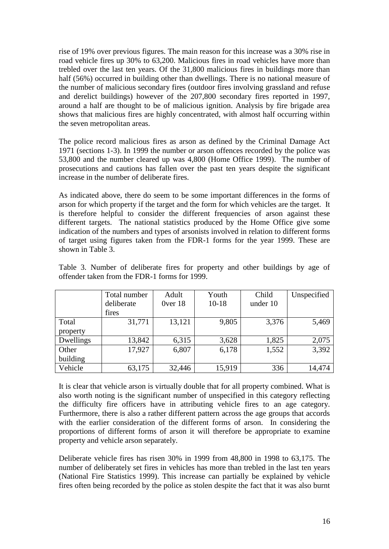rise of 19% over previous figures. The main reason for this increase was a 30% rise in road vehicle fires up 30% to 63,200. Malicious fires in road vehicles have more than trebled over the last ten years. Of the 31,800 malicious fires in buildings more than half (56%) occurred in building other than dwellings. There is no national measure of the number of malicious secondary fires (outdoor fires involving grassland and refuse and derelict buildings) however of the 207,800 secondary fires reported in 1997, around a half are thought to be of malicious ignition. Analysis by fire brigade area shows that malicious fires are highly concentrated, with almost half occurring within the seven metropolitan areas.

The police record malicious fires as arson as defined by the Criminal Damage Act 1971 (sections 1-3). In 1999 the number or arson offences recorded by the police was 53,800 and the number cleared up was 4,800 (Home Office 1999). The number of prosecutions and cautions has fallen over the past ten years despite the significant increase in the number of deliberate fires.

As indicated above, there do seem to be some important differences in the forms of arson for which property if the target and the form for which vehicles are the target. It is therefore helpful to consider the different frequencies of arson against these different targets. The national statistics produced by the Home Office give some indication of the numbers and types of arsonists involved in relation to different forms of target using figures taken from the FDR-1 forms for the year 1999. These are shown in Table 3.

|           | Total number | Adult        | Youth     | Child    | Unspecified |
|-----------|--------------|--------------|-----------|----------|-------------|
|           | deliberate   | $0$ ver $18$ | $10 - 18$ | under 10 |             |
|           | fires        |              |           |          |             |
| Total     | 31,771       | 13,121       | 9,805     | 3,376    | 5,469       |
| property  |              |              |           |          |             |
| Dwellings | 13,842       | 6,315        | 3,628     | 1,825    | 2,075       |
| Other     | 17,927       | 6,807        | 6,178     | 1,552    | 3,392       |
| building  |              |              |           |          |             |
| Vehicle   | 63,175       | 32,446       | 15,919    | 336      | 14,474      |

Table 3. Number of deliberate fires for property and other buildings by age of offender taken from the FDR-1 forms for 1999.

It is clear that vehicle arson is virtually double that for all property combined. What is also worth noting is the significant number of unspecified in this category reflecting the difficulty fire officers have in attributing vehicle fires to an age category. Furthermore, there is also a rather different pattern across the age groups that accords with the earlier consideration of the different forms of arson. In considering the proportions of different forms of arson it will therefore be appropriate to examine property and vehicle arson separately.

Deliberate vehicle fires has risen 30% in 1999 from 48,800 in 1998 to 63,175. The number of deliberately set fires in vehicles has more than trebled in the last ten years (National Fire Statistics 1999). This increase can partially be explained by vehicle fires often being recorded by the police as stolen despite the fact that it was also burnt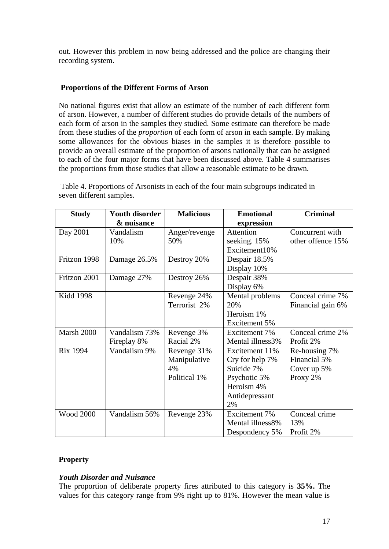out. However this problem in now being addressed and the police are changing their recording system.

# **Proportions of the Different Forms of Arson**

No national figures exist that allow an estimate of the number of each different form of arson. However, a number of different studies do provide details of the numbers of each form of arson in the samples they studied. Some estimate can therefore be made from these studies of the *proportion* of each form of arson in each sample. By making some allowances for the obvious biases in the samples it is therefore possible to provide an overall estimate of the proportion of arsons nationally that can be assigned to each of the four major forms that have been discussed above. Table 4 summarises the proportions from those studies that allow a reasonable estimate to be drawn.

| <b>Study</b>     | <b>Youth disorder</b> | <b>Malicious</b> | <b>Emotional</b> | <b>Criminal</b>   |
|------------------|-----------------------|------------------|------------------|-------------------|
|                  | & nuisance            |                  | expression       |                   |
| Day 2001         | Vandalism             | Anger/revenge    | Attention        | Concurrent with   |
|                  | 10%                   | 50%              | seeking. 15%     | other offence 15% |
|                  |                       |                  | Excitement10%    |                   |
| Fritzon 1998     | Damage 26.5%          | Destroy 20%      | Despair 18.5%    |                   |
|                  |                       |                  | Display 10%      |                   |
| Fritzon 2001     | Damage 27%            | Destroy 26%      | Despair 38%      |                   |
|                  |                       |                  | Display 6%       |                   |
| Kidd 1998        |                       | Revenge 24%      | Mental problems  | Conceal crime 7%  |
|                  |                       | Terrorist 2%     | 20%              | Financial gain 6% |
|                  |                       |                  | Heroism 1%       |                   |
|                  |                       |                  | Excitement 5%    |                   |
| Marsh 2000       | Vandalism 73%         | Revenge 3%       | Excitement 7%    | Conceal crime 2%  |
|                  | Fireplay 8%           | Racial 2%        | Mental illness3% | Profit 2%         |
| <b>Rix 1994</b>  | Vandalism 9%          | Revenge 31%      | Excitement 11%   | Re-housing 7%     |
|                  |                       | Manipulative     | Cry for help 7%  | Financial 5%      |
|                  |                       | 4%               | Suicide 7%       | Cover up 5%       |
|                  |                       | Political 1%     | Psychotic 5%     | Proxy 2%          |
|                  |                       |                  | Heroism 4%       |                   |
|                  |                       |                  | Antidepressant   |                   |
|                  |                       |                  | 2%               |                   |
| <b>Wood 2000</b> | Vandalism 56%         | Revenge 23%      | Excitement 7%    | Conceal crime     |
|                  |                       |                  | Mental illness8% | 13%               |
|                  |                       |                  | Despondency 5%   | Profit 2%         |

Table 4. Proportions of Arsonists in each of the four main subgroups indicated in seven different samples.

## **Property**

## *Youth Disorder and Nuisance*

The proportion of deliberate property fires attributed to this category is **35%.** The values for this category range from 9% right up to 81%. However the mean value is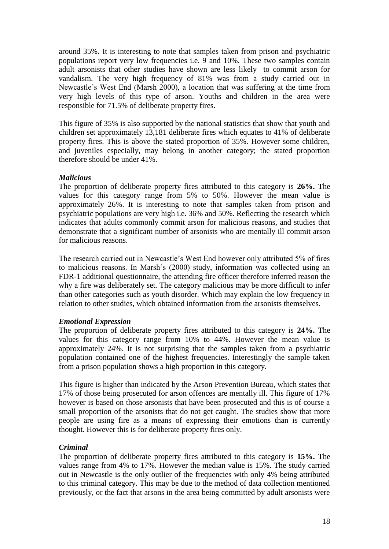around 35%. It is interesting to note that samples taken from prison and psychiatric populations report very low frequencies i.e. 9 and 10%. These two samples contain adult arsonists that other studies have shown are less likely to commit arson for vandalism. The very high frequency of 81% was from a study carried out in Newcastle"s West End (Marsh 2000), a location that was suffering at the time from very high levels of this type of arson. Youths and children in the area were responsible for 71.5% of deliberate property fires.

This figure of 35% is also supported by the national statistics that show that youth and children set approximately 13,181 deliberate fires which equates to 41% of deliberate property fires. This is above the stated proportion of 35%. However some children, and juveniles especially, may belong in another category; the stated proportion therefore should be under 41%.

### *Malicious*

The proportion of deliberate property fires attributed to this category is **26%.** The values for this category range from 5% to 50%. However the mean value is approximately 26%. It is interesting to note that samples taken from prison and psychiatric populations are very high i.e. 36% and 50%. Reflecting the research which indicates that adults commonly commit arson for malicious reasons, and studies that demonstrate that a significant number of arsonists who are mentally ill commit arson for malicious reasons.

The research carried out in Newcastle"s West End however only attributed 5% of fires to malicious reasons. In Marsh"s (2000) study, information was collected using an FDR-1 additional questionnaire, the attending fire officer therefore inferred reason the why a fire was deliberately set. The category malicious may be more difficult to infer than other categories such as youth disorder. Which may explain the low frequency in relation to other studies, which obtained information from the arsonists themselves.

## *Emotional Expression*

The proportion of deliberate property fires attributed to this category is **24%.** The values for this category range from 10% to 44%. However the mean value is approximately 24%. It is not surprising that the samples taken from a psychiatric population contained one of the highest frequencies. Interestingly the sample taken from a prison population shows a high proportion in this category.

This figure is higher than indicated by the Arson Prevention Bureau, which states that 17% of those being prosecuted for arson offences are mentally ill. This figure of 17% however is based on those arsonists that have been prosecuted and this is of course a small proportion of the arsonists that do not get caught. The studies show that more people are using fire as a means of expressing their emotions than is currently thought. However this is for deliberate property fires only.

#### *Criminal*

The proportion of deliberate property fires attributed to this category is **15%.** The values range from 4% to 17%. However the median value is 15%. The study carried out in Newcastle is the only outlier of the frequencies with only 4% being attributed to this criminal category. This may be due to the method of data collection mentioned previously, or the fact that arsons in the area being committed by adult arsonists were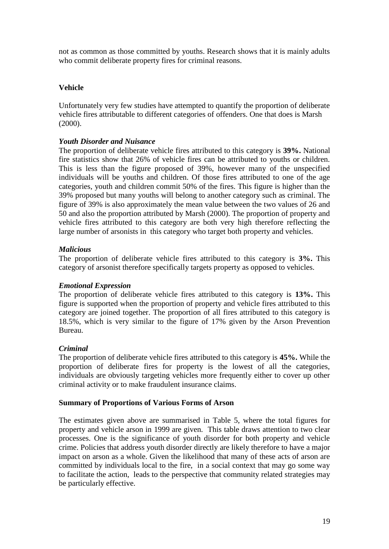not as common as those committed by youths. Research shows that it is mainly adults who commit deliberate property fires for criminal reasons.

## **Vehicle**

Unfortunately very few studies have attempted to quantify the proportion of deliberate vehicle fires attributable to different categories of offenders. One that does is Marsh (2000).

## *Youth Disorder and Nuisance*

The proportion of deliberate vehicle fires attributed to this category is **39%.** National fire statistics show that 26% of vehicle fires can be attributed to youths or children. This is less than the figure proposed of 39%, however many of the unspecified individuals will be youths and children. Of those fires attributed to one of the age categories, youth and children commit 50% of the fires. This figure is higher than the 39% proposed but many youths will belong to another category such as criminal. The figure of 39% is also approximately the mean value between the two values of 26 and 50 and also the proportion attributed by Marsh (2000). The proportion of property and vehicle fires attributed to this category are both very high therefore reflecting the large number of arsonists in this category who target both property and vehicles.

# *Malicious*

The proportion of deliberate vehicle fires attributed to this category is **3%.** This category of arsonist therefore specifically targets property as opposed to vehicles.

# *Emotional Expression*

The proportion of deliberate vehicle fires attributed to this category is **13%.** This figure is supported when the proportion of property and vehicle fires attributed to this category are joined together. The proportion of all fires attributed to this category is 18.5%, which is very similar to the figure of 17% given by the Arson Prevention Bureau.

## *Criminal*

The proportion of deliberate vehicle fires attributed to this category is **45%.** While the proportion of deliberate fires for property is the lowest of all the categories, individuals are obviously targeting vehicles more frequently either to cover up other criminal activity or to make fraudulent insurance claims.

## **Summary of Proportions of Various Forms of Arson**

The estimates given above are summarised in Table 5, where the total figures for property and vehicle arson in 1999 are given. This table draws attention to two clear processes. One is the significance of youth disorder for both property and vehicle crime. Policies that address youth disorder directly are likely therefore to have a major impact on arson as a whole. Given the likelihood that many of these acts of arson are committed by individuals local to the fire, in a social context that may go some way to facilitate the action, leads to the perspective that community related strategies may be particularly effective.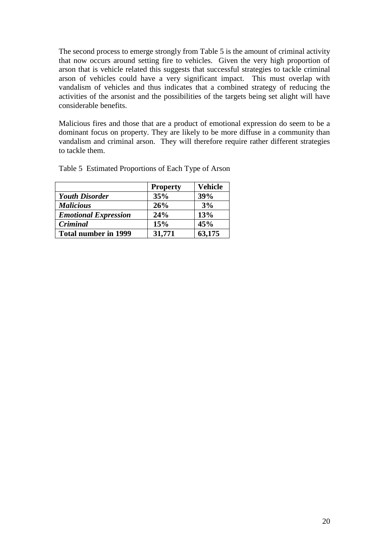The second process to emerge strongly from Table 5 is the amount of criminal activity that now occurs around setting fire to vehicles. Given the very high proportion of arson that is vehicle related this suggests that successful strategies to tackle criminal arson of vehicles could have a very significant impact. This must overlap with vandalism of vehicles and thus indicates that a combined strategy of reducing the activities of the arsonist and the possibilities of the targets being set alight will have considerable benefits.

Malicious fires and those that are a product of emotional expression do seem to be a dominant focus on property. They are likely to be more diffuse in a community than vandalism and criminal arson. They will therefore require rather different strategies to tackle them.

|                             | <b>Property</b> | <b>Vehicle</b> |
|-----------------------------|-----------------|----------------|
| <b>Youth Disorder</b>       | 35%             | 39%            |
| <b>Malicious</b>            | 26%             | 3%             |
| <b>Emotional Expression</b> | 24%             | 13%            |
| Criminal                    | 15%             | 45%            |
| <b>Total number in 1999</b> | 31,771          | 63,175         |

Table 5 Estimated Proportions of Each Type of Arson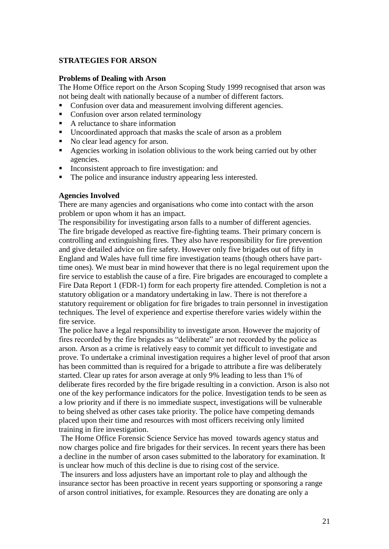### **STRATEGIES FOR ARSON**

#### **Problems of Dealing with Arson**

The Home Office report on the Arson Scoping Study 1999 recognised that arson was not being dealt with nationally because of a number of different factors.

- Confusion over data and measurement involving different agencies.
- Confusion over arson related terminology
- A reluctance to share information
- Uncoordinated approach that masks the scale of arson as a problem
- No clear lead agency for arson.
- Agencies working in isolation oblivious to the work being carried out by other agencies.
- Inconsistent approach to fire investigation: and
- The police and insurance industry appearing less interested.

#### **Agencies Involved**

There are many agencies and organisations who come into contact with the arson problem or upon whom it has an impact.

The responsibility for investigating arson falls to a number of different agencies. The fire brigade developed as reactive fire-fighting teams. Their primary concern is controlling and extinguishing fires. They also have responsibility for fire prevention and give detailed advice on fire safety. However only five brigades out of fifty in England and Wales have full time fire investigation teams (though others have parttime ones). We must bear in mind however that there is no legal requirement upon the fire service to establish the cause of a fire. Fire brigades are encouraged to complete a Fire Data Report 1 (FDR-1) form for each property fire attended. Completion is not a statutory obligation or a mandatory undertaking in law. There is not therefore a statutory requirement or obligation for fire brigades to train personnel in investigation techniques. The level of experience and expertise therefore varies widely within the fire service.

The police have a legal responsibility to investigate arson. However the majority of fires recorded by the fire brigades as "deliberate" are not recorded by the police as arson. Arson as a crime is relatively easy to commit yet difficult to investigate and prove. To undertake a criminal investigation requires a higher level of proof that arson has been committed than is required for a brigade to attribute a fire was deliberately started. Clear up rates for arson average at only 9% leading to less than 1% of deliberate fires recorded by the fire brigade resulting in a conviction. Arson is also not one of the key performance indicators for the police. Investigation tends to be seen as a low priority and if there is no immediate suspect, investigations will be vulnerable to being shelved as other cases take priority. The police have competing demands placed upon their time and resources with most officers receiving only limited training in fire investigation.

The Home Office Forensic Science Service has moved towards agency status and now charges police and fire brigades for their services. In recent years there has been a decline in the number of arson cases submitted to the laboratory for examination. It is unclear how much of this decline is due to rising cost of the service.

The insurers and loss adjusters have an important role to play and although the insurance sector has been proactive in recent years supporting or sponsoring a range of arson control initiatives, for example. Resources they are donating are only a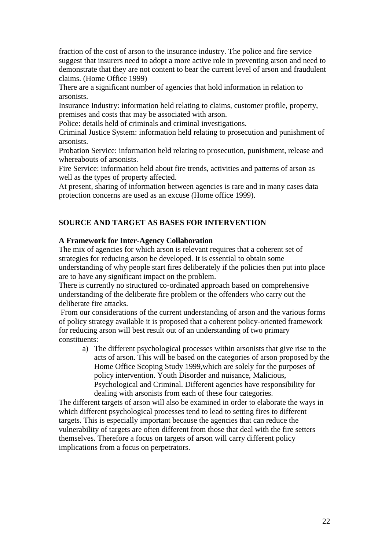fraction of the cost of arson to the insurance industry. The police and fire service suggest that insurers need to adopt a more active role in preventing arson and need to demonstrate that they are not content to bear the current level of arson and fraudulent claims. (Home Office 1999)

There are a significant number of agencies that hold information in relation to arsonists.

Insurance Industry: information held relating to claims, customer profile, property, premises and costs that may be associated with arson.

Police: details held of criminals and criminal investigations.

Criminal Justice System: information held relating to prosecution and punishment of arsonists.

Probation Service: information held relating to prosecution, punishment, release and whereabouts of arsonists.

Fire Service: information held about fire trends, activities and patterns of arson as well as the types of property affected.

At present, sharing of information between agencies is rare and in many cases data protection concerns are used as an excuse (Home office 1999).

### **SOURCE AND TARGET AS BASES FOR INTERVENTION**

#### **A Framework for Inter-Agency Collaboration**

The mix of agencies for which arson is relevant requires that a coherent set of strategies for reducing arson be developed. It is essential to obtain some understanding of why people start fires deliberately if the policies then put into place are to have any significant impact on the problem.

There is currently no structured co-ordinated approach based on comprehensive understanding of the deliberate fire problem or the offenders who carry out the deliberate fire attacks.

From our considerations of the current understanding of arson and the various forms of policy strategy available it is proposed that a coherent policy-oriented framework for reducing arson will best result out of an understanding of two primary constituents:

a) The different psychological processes within arsonists that give rise to the acts of arson. This will be based on the categories of arson proposed by the Home Office Scoping Study 1999,which are solely for the purposes of policy intervention. Youth Disorder and nuisance, Malicious, Psychological and Criminal. Different agencies have responsibility for dealing with arsonists from each of these four categories.

The different targets of arson will also be examined in order to elaborate the ways in which different psychological processes tend to lead to setting fires to different targets. This is especially important because the agencies that can reduce the vulnerability of targets are often different from those that deal with the fire setters themselves. Therefore a focus on targets of arson will carry different policy implications from a focus on perpetrators.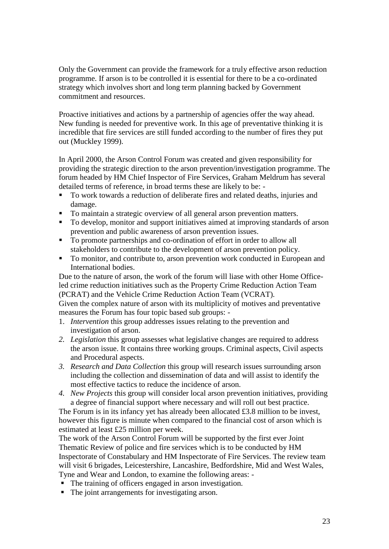Only the Government can provide the framework for a truly effective arson reduction programme. If arson is to be controlled it is essential for there to be a co-ordinated strategy which involves short and long term planning backed by Government commitment and resources.

Proactive initiatives and actions by a partnership of agencies offer the way ahead. New funding is needed for preventive work. In this age of preventative thinking it is incredible that fire services are still funded according to the number of fires they put out (Muckley 1999).

In April 2000, the Arson Control Forum was created and given responsibility for providing the strategic direction to the arson prevention/investigation programme. The forum headed by HM Chief Inspector of Fire Services, Graham Meldrum has several detailed terms of reference, in broad terms these are likely to be: -

- To work towards a reduction of deliberate fires and related deaths, injuries and damage.
- To maintain a strategic overview of all general arson prevention matters.
- To develop, monitor and support initiatives aimed at improving standards of arson prevention and public awareness of arson prevention issues.
- To promote partnerships and co-ordination of effort in order to allow all stakeholders to contribute to the development of arson prevention policy.
- To monitor, and contribute to, arson prevention work conducted in European and International bodies.

Due to the nature of arson, the work of the forum will liase with other Home Officeled crime reduction initiatives such as the Property Crime Reduction Action Team (PCRAT) and the Vehicle Crime Reduction Action Team (VCRAT).

Given the complex nature of arson with its multiplicity of motives and preventative measures the Forum has four topic based sub groups: -

- 1. *Intervention* this group addresses issues relating to the prevention and investigation of arson.
- *2. Legislation* this group assesses what legislative changes are required to address the arson issue. It contains three working groups. Criminal aspects, Civil aspects and Procedural aspects.
- *3. Research and Data Collection* this group will research issues surrounding arson including the collection and dissemination of data and will assist to identify the most effective tactics to reduce the incidence of arson.
- *4. New Projects* this group will consider local arson prevention initiatives, providing a degree of financial support where necessary and will roll out best practice.

The Forum is in its infancy yet has already been allocated £3.8 million to be invest, however this figure is minute when compared to the financial cost of arson which is estimated at least £25 million per week.

The work of the Arson Control Forum will be supported by the first ever Joint Thematic Review of police and fire services which is to be conducted by HM Inspectorate of Constabulary and HM Inspectorate of Fire Services. The review team will visit 6 brigades, Leicestershire, Lancashire, Bedfordshire, Mid and West Wales, Tyne and Wear and London, to examine the following areas: -

- The training of officers engaged in arson investigation.
- The joint arrangements for investigating arson.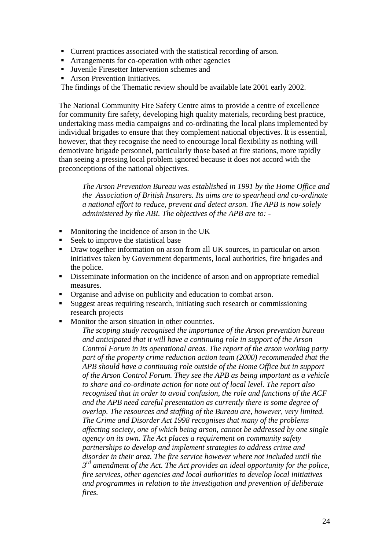- Current practices associated with the statistical recording of arson.
- **EXP** Arrangements for co-operation with other agencies
- Juvenile Firesetter Intervention schemes and
- Arson Prevention Initiatives.

The findings of the Thematic review should be available late 2001 early 2002.

The National Community Fire Safety Centre aims to provide a centre of excellence for community fire safety, developing high quality materials, recording best practice, undertaking mass media campaigns and co-ordinating the local plans implemented by individual brigades to ensure that they complement national objectives. It is essential, however, that they recognise the need to encourage local flexibility as nothing will demotivate brigade personnel, particularly those based at fire stations, more rapidly than seeing a pressing local problem ignored because it does not accord with the preconceptions of the national objectives.

*The Arson Prevention Bureau was established in 1991 by the Home Office and the Association of British Insurers. Its aims are to spearhead and co-ordinate a national effort to reduce, prevent and detect arson. The APB is now solely administered by the ABI. The objectives of the APB are to: -*

- **Monitoring the incidence of arson in the UK**
- Seek to improve the statistical base
- **Draw together information on arson from all UK sources, in particular on arson** initiatives taken by Government departments, local authorities, fire brigades and the police.
- Disseminate information on the incidence of arson and on appropriate remedial measures.
- Organise and advise on publicity and education to combat arson.
- Suggest areas requiring research, initiating such research or commissioning research projects
- Monitor the arson situation in other countries.

*The scoping study recognised the importance of the Arson prevention bureau and anticipated that it will have a continuing role in support of the Arson Control Forum in its operational areas. The report of the arson working party part of the property crime reduction action team (2000) recommended that the APB should have a continuing role outside of the Home Office but in support of the Arson Control Forum. They see the APB as being important as a vehicle to share and co-ordinate action for note out of local level. The report also recognised that in order to avoid confusion, the role and functions of the ACF and the APB need careful presentation as currently there is some degree of overlap. The resources and staffing of the Bureau are, however, very limited. The Crime and Disorder Act 1998 recognises that many of the problems affecting society, one of which being arson, cannot be addressed by one single agency on its own. The Act places a requirement on community safety partnerships to develop and implement strategies to address crime and disorder in their area. The fire service however where not included until the 3 rd amendment of the Act. The Act provides an ideal opportunity for the police, fire services, other agencies and local authorities to develop local initiatives and programmes in relation to the investigation and prevention of deliberate fires.*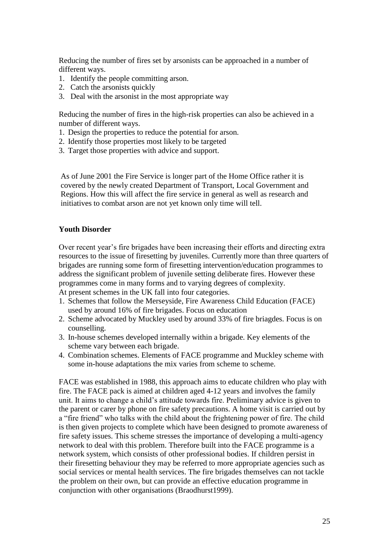Reducing the number of fires set by arsonists can be approached in a number of different ways.

- 1. Identify the people committing arson.
- 2. Catch the arsonists quickly
- 3. Deal with the arsonist in the most appropriate way

Reducing the number of fires in the high-risk properties can also be achieved in a number of different ways.

- 1. Design the properties to reduce the potential for arson.
- 2. Identify those properties most likely to be targeted
- 3. Target those properties with advice and support.

As of June 2001 the Fire Service is longer part of the Home Office rather it is covered by the newly created Department of Transport, Local Government and Regions. How this will affect the fire service in general as well as research and initiatives to combat arson are not yet known only time will tell.

#### **Youth Disorder**

Over recent year"s fire brigades have been increasing their efforts and directing extra resources to the issue of firesetting by juveniles. Currently more than three quarters of brigades are running some form of firesetting intervention/education programmes to address the significant problem of juvenile setting deliberate fires. However these programmes come in many forms and to varying degrees of complexity.

At present schemes in the UK fall into four categories.

- 1. Schemes that follow the Merseyside, Fire Awareness Child Education (FACE) used by around 16% of fire brigades. Focus on education
- 2. Scheme advocated by Muckley used by around 33% of fire briagdes. Focus is on counselling.
- 3. In-house schemes developed internally within a brigade. Key elements of the scheme vary between each brigade.
- 4. Combination schemes. Elements of FACE programme and Muckley scheme with some in-house adaptations the mix varies from scheme to scheme.

FACE was established in 1988, this approach aims to educate children who play with fire. The FACE pack is aimed at children aged 4-12 years and involves the family unit. It aims to change a child"s attitude towards fire. Preliminary advice is given to the parent or carer by phone on fire safety precautions. A home visit is carried out by a "fire friend" who talks with the child about the frightening power of fire. The child is then given projects to complete which have been designed to promote awareness of fire safety issues. This scheme stresses the importance of developing a multi-agency network to deal with this problem. Therefore built into the FACE programme is a network system, which consists of other professional bodies. If children persist in their firesetting behaviour they may be referred to more appropriate agencies such as social services or mental health services. The fire brigades themselves can not tackle the problem on their own, but can provide an effective education programme in conjunction with other organisations (Braodhurst1999).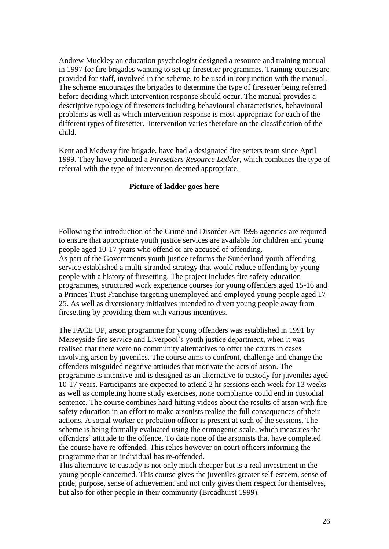Andrew Muckley an education psychologist designed a resource and training manual in 1997 for fire brigades wanting to set up firesetter programmes. Training courses are provided for staff, involved in the scheme, to be used in conjunction with the manual. The scheme encourages the brigades to determine the type of firesetter being referred before deciding which intervention response should occur. The manual provides a descriptive typology of firesetters including behavioural characteristics, behavioural problems as well as which intervention response is most appropriate for each of the different types of firesetter. Intervention varies therefore on the classification of the child.

Kent and Medway fire brigade, have had a designated fire setters team since April 1999. They have produced a *Firesetters Resource Ladder,* which combines the type of referral with the type of intervention deemed appropriate.

### **Picture of ladder goes here**

Following the introduction of the Crime and Disorder Act 1998 agencies are required to ensure that appropriate youth justice services are available for children and young people aged 10-17 years who offend or are accused of offending. As part of the Governments youth justice reforms the Sunderland youth offending service established a multi-stranded strategy that would reduce offending by young people with a history of firesetting. The project includes fire safety education programmes, structured work experience courses for young offenders aged 15-16 and a Princes Trust Franchise targeting unemployed and employed young people aged 17- 25. As well as diversionary initiatives intended to divert young people away from firesetting by providing them with various incentives.

The FACE UP, arson programme for young offenders was established in 1991 by Merseyside fire service and Liverpool"s youth justice department, when it was realised that there were no community alternatives to offer the courts in cases involving arson by juveniles. The course aims to confront, challenge and change the offenders misguided negative attitudes that motivate the acts of arson. The programme is intensive and is designed as an alternative to custody for juveniles aged 10-17 years. Participants are expected to attend 2 hr sessions each week for 13 weeks as well as completing home study exercises, none compliance could end in custodial sentence. The course combines hard-hitting videos about the results of arson with fire safety education in an effort to make arsonists realise the full consequences of their actions. A social worker or probation officer is present at each of the sessions. The scheme is being formally evaluated using the crimogenic scale, which measures the offenders" attitude to the offence. To date none of the arsonists that have completed the course have re-offended. This relies however on court officers informing the programme that an individual has re-offended.

This alternative to custody is not only much cheaper but is a real investment in the young people concerned. This course gives the juveniles greater self-esteem, sense of pride, purpose, sense of achievement and not only gives them respect for themselves, but also for other people in their community (Broadhurst 1999).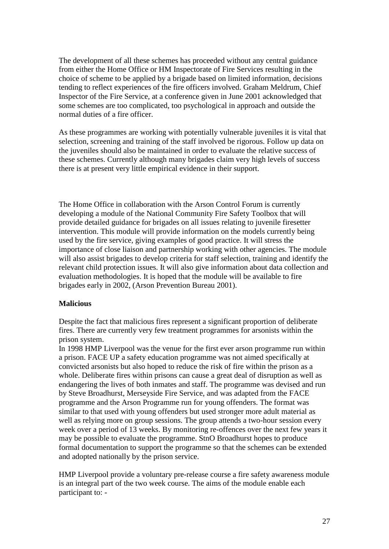The development of all these schemes has proceeded without any central guidance from either the Home Office or HM Inspectorate of Fire Services resulting in the choice of scheme to be applied by a brigade based on limited information, decisions tending to reflect experiences of the fire officers involved. Graham Meldrum, Chief Inspector of the Fire Service, at a conference given in June 2001 acknowledged that some schemes are too complicated, too psychological in approach and outside the normal duties of a fire officer.

As these programmes are working with potentially vulnerable juveniles it is vital that selection, screening and training of the staff involved be rigorous. Follow up data on the juveniles should also be maintained in order to evaluate the relative success of these schemes. Currently although many brigades claim very high levels of success there is at present very little empirical evidence in their support.

The Home Office in collaboration with the Arson Control Forum is currently developing a module of the National Community Fire Safety Toolbox that will provide detailed guidance for brigades on all issues relating to juvenile firesetter intervention. This module will provide information on the models currently being used by the fire service, giving examples of good practice. It will stress the importance of close liaison and partnership working with other agencies. The module will also assist brigades to develop criteria for staff selection, training and identify the relevant child protection issues. It will also give information about data collection and evaluation methodologies. It is hoped that the module will be available to fire brigades early in 2002, (Arson Prevention Bureau 2001).

#### **Malicious**

Despite the fact that malicious fires represent a significant proportion of deliberate fires. There are currently very few treatment programmes for arsonists within the prison system.

In 1998 HMP Liverpool was the venue for the first ever arson programme run within a prison. FACE UP a safety education programme was not aimed specifically at convicted arsonists but also hoped to reduce the risk of fire within the prison as a whole. Deliberate fires within prisons can cause a great deal of disruption as well as endangering the lives of both inmates and staff. The programme was devised and run by Steve Broadhurst, Merseyside Fire Service, and was adapted from the FACE programme and the Arson Programme run for young offenders. The format was similar to that used with young offenders but used stronger more adult material as well as relying more on group sessions. The group attends a two-hour session every week over a period of 13 weeks. By monitoring re-offences over the next few years it may be possible to evaluate the programme. StnO Broadhurst hopes to produce formal documentation to support the programme so that the schemes can be extended and adopted nationally by the prison service.

HMP Liverpool provide a voluntary pre-release course a fire safety awareness module is an integral part of the two week course. The aims of the module enable each participant to: -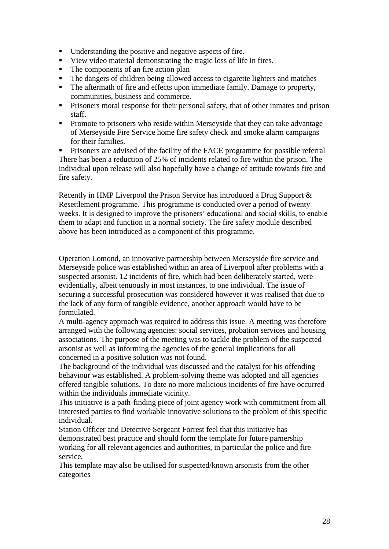- Understanding the positive and negative aspects of fire.
- View video material demonstrating the tragic loss of life in fires.
- The components of an fire action plan
- The dangers of children being allowed access to cigarette lighters and matches
- The aftermath of fire and effects upon immediate family. Damage to property, communities, business and commerce.
- **Prisoners moral response for their personal safety, that of other inmates and prison** staff.
- **Promote to prisoners who reside within Merseyside that they can take advantage** of Merseyside Fire Service home fire safety check and smoke alarm campaigns for their families.

 Prisoners are advised of the facility of the FACE programme for possible referral There has been a reduction of 25% of incidents related to fire within the prison. The individual upon release will also hopefully have a change of attitude towards fire and fire safety.

Recently in HMP Liverpool the Prison Service has introduced a Drug Support & Resettlement programme. This programme is conducted over a period of twenty weeks. It is designed to improve the prisoners' educational and social skills, to enable them to adapt and function in a normal society. The fire safety module described above has been introduced as a component of this programme.

Operation Lomond, an innovative partnership between Merseyside fire service and Merseyside police was established within an area of Liverpool after problems with a suspected arsonist. 12 incidents of fire, which had been deliberately started, were evidentially, albeit tenuously in most instances, to one individual. The issue of securing a successful prosecution was considered however it was realised that due to the lack of any form of tangible evidence, another approach would have to be formulated.

A multi-agency approach was required to address this issue. A meeting was therefore arranged with the following agencies: social services, probation services and housing associations. The purpose of the meeting was to tackle the problem of the suspected arsonist as well as informing the agencies of the general implications for all concerned in a positive solution was not found.

The background of the individual was discussed and the catalyst for his offending behaviour was established. A problem-solving theme was adopted and all agencies offered tangible solutions. To date no more malicious incidents of fire have occurred within the individuals immediate vicinity.

This initiative is a path-finding piece of joint agency work with commitment from all interested parties to find workable innovative solutions to the problem of this specific individual.

Station Officer and Detective Sergeant Forrest feel that this initiative has demonstrated best practice and should form the template for future parnership working for all relevant agencies and authorities, in particular the police and fire service.

This template may also be utilised for suspected/known arsonists from the other categories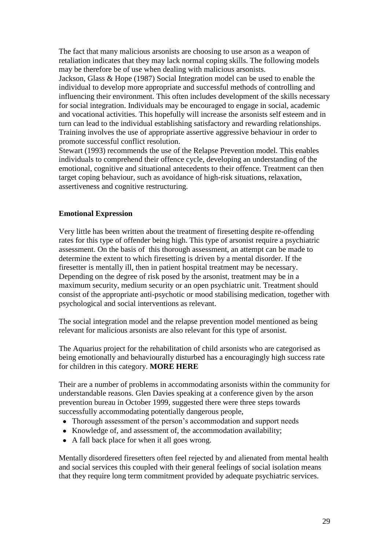The fact that many malicious arsonists are choosing to use arson as a weapon of retaliation indicates that they may lack normal coping skills. The following models may be therefore be of use when dealing with malicious arsonists.

Jackson, Glass & Hope (1987) Social Integration model can be used to enable the individual to develop more appropriate and successful methods of controlling and influencing their environment. This often includes development of the skills necessary for social integration. Individuals may be encouraged to engage in social, academic and vocational activities. This hopefully will increase the arsonists self esteem and in turn can lead to the individual establishing satisfactory and rewarding relationships. Training involves the use of appropriate assertive aggressive behaviour in order to promote successful conflict resolution.

Stewart (1993) recommends the use of the Relapse Prevention model. This enables individuals to comprehend their offence cycle, developing an understanding of the emotional, cognitive and situational antecedents to their offence. Treatment can then target coping behaviour, such as avoidance of high-risk situations, relaxation, assertiveness and cognitive restructuring.

#### **Emotional Expression**

Very little has been written about the treatment of firesetting despite re-offending rates for this type of offender being high. This type of arsonist require a psychiatric assessment. On the basis of this thorough assessment, an attempt can be made to determine the extent to which firesetting is driven by a mental disorder. If the firesetter is mentally ill, then in patient hospital treatment may be necessary. Depending on the degree of risk posed by the arsonist, treatment may be in a maximum security, medium security or an open psychiatric unit. Treatment should consist of the appropriate anti-psychotic or mood stabilising medication, together with psychological and social interventions as relevant.

The social integration model and the relapse prevention model mentioned as being relevant for malicious arsonists are also relevant for this type of arsonist.

The Aquarius project for the rehabilitation of child arsonists who are categorised as being emotionally and behaviourally disturbed has a encouragingly high success rate for children in this category. **MORE HERE**

Their are a number of problems in accommodating arsonists within the community for understandable reasons. Glen Davies speaking at a conference given by the arson prevention bureau in October 1999, suggested there were three steps towards successfully accommodating potentially dangerous people,

- Thorough assessment of the person's accommodation and support needs
- Knowledge of, and assessment of, the accommodation availability;
- A fall back place for when it all goes wrong.

Mentally disordered firesetters often feel rejected by and alienated from mental health and social services this coupled with their general feelings of social isolation means that they require long term commitment provided by adequate psychiatric services.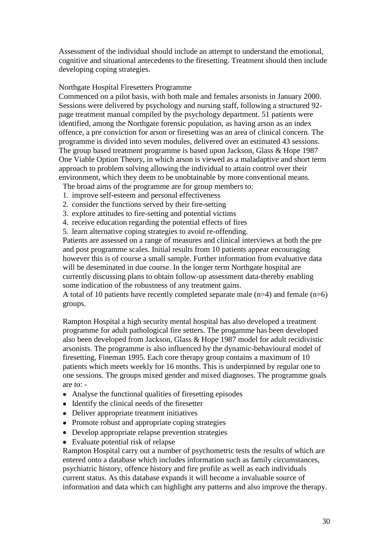Assessment of the individual should include an attempt to understand the emotional, cognitive and situational antecedents to the firesetting. Treatment should then include developing coping strategies.

#### Northgate Hospital Firesetters Programme

Commenced on a pilot basis, with both male and females arsonists in January 2000. Sessions were delivered by psychology and nursing staff, following a structured 92 page treatment manual compiled by the psychology department. 51 patients were identified, among the Northgate forensic population, as having arson as an index offence, a pre conviction for arson or firesetting was an area of clinical concern. The programme is divided into seven modules, delivered over an estimated 43 sessions. The group based treatment programme is based upon Jackson, Glass & Hope 1987 One Viable Option Theory, in which arson is viewed as a maladaptive and short term approach to problem solving allowing the individual to attain control over their environment, which they deem to be unobtainable by more conventional means.

The broad aims of the programme are for group members to:

- 1. improve self-esteem and personal effectiveness
- 2. consider the functions served by their fire-setting
- 3. explore attitudes to fire-setting and potential victims
- 4. receive education regarding the potential effects of fires

5. learn alternative coping strategies to avoid re-offending.

Patients are assessed on a range of measures and clinical interviews at both the pre and post programme scales. Initial results from 10 patients appear encouraging however this is of course a small sample. Further information from evaluative data will be deseminated in due course. In the longer term Northgate hospital are currently discussing plans to obtain follow-up assessment data-thereby enabling some indication of the robustness of any treatment gains.

A total of 10 patients have recently completed separate male (n=4) and female (n=6) groups.

Rampton Hospital a high security mental hospital has also developed a treatment programme for adult pathological fire setters. The progamme has been developed also been developed from Jackson, Glass & Hope 1987 model for adult recidivistic arsonists. The programme is also influenced by the dynamic-behavioural model of firesetting, Fineman 1995. Each core therapy group contains a maximum of 10 patients which meets weekly for 16 months. This is underpinned by regular one to one sessions. The groups mixed gender and mixed diagnoses. The programme goals are to: -

- Analyse the functional qualities of firesetting episodes
- Identify the clinical needs of the firesetter
- Deliver appropriate treatment initiatives
- Promote robust and appropriate coping strategies
- Develop appropriate relapse prevention strategies
- Evaluate potential risk of relapse

Rampton Hospital carry out a number of psychometric tests the results of which are entered onto a database which includes information such as family circumstances, psychiatric history, offence history and fire profile as well as each individuals current status. As this database expands it will become a invaluable source of information and data which can highlight any patterns and also improve the therapy.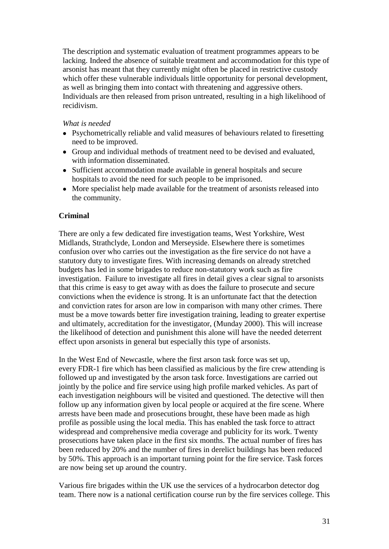The description and systematic evaluation of treatment programmes appears to be lacking. Indeed the absence of suitable treatment and accommodation for this type of arsonist has meant that they currently might often be placed in restrictive custody which offer these vulnerable individuals little opportunity for personal development, as well as bringing them into contact with threatening and aggressive others. Individuals are then released from prison untreated, resulting in a high likelihood of recidivism.

### *What is needed*

- Psychometrically reliable and valid measures of behaviours related to firesetting need to be improved.
- Group and individual methods of treatment need to be devised and evaluated, with information disseminated.
- Sufficient accommodation made available in general hospitals and secure hospitals to avoid the need for such people to be imprisoned.
- More specialist help made available for the treatment of arsonists released into the community.

## **Criminal**

There are only a few dedicated fire investigation teams, West Yorkshire, West Midlands, Strathclyde, London and Merseyside. Elsewhere there is sometimes confusion over who carries out the investigation as the fire service do not have a statutory duty to investigate fires. With increasing demands on already stretched budgets has led in some brigades to reduce non-statutory work such as fire investigation. Failure to investigate all fires in detail gives a clear signal to arsonists that this crime is easy to get away with as does the failure to prosecute and secure convictions when the evidence is strong. It is an unfortunate fact that the detection and conviction rates for arson are low in comparison with many other crimes. There must be a move towards better fire investigation training, leading to greater expertise and ultimately, accreditation for the investigator, (Munday 2000). This will increase the likelihood of detection and punishment this alone will have the needed deterrent effect upon arsonists in general but especially this type of arsonists.

In the West End of Newcastle, where the first arson task force was set up, every FDR-1 fire which has been classified as malicious by the fire crew attending is followed up and investigated by the arson task force. Investigations are carried out jointly by the police and fire service using high profile marked vehicles. As part of each investigation neighbours will be visited and questioned. The detective will then follow up any information given by local people or acquired at the fire scene. Where arrests have been made and prosecutions brought, these have been made as high profile as possible using the local media. This has enabled the task force to attract widespread and comprehensive media coverage and publicity for its work. Twenty prosecutions have taken place in the first six months. The actual number of fires has been reduced by 20% and the number of fires in derelict buildings has been reduced by 50%. This approach is an important turning point for the fire service. Task forces are now being set up around the country.

Various fire brigades within the UK use the services of a hydrocarbon detector dog team. There now is a national certification course run by the fire services college. This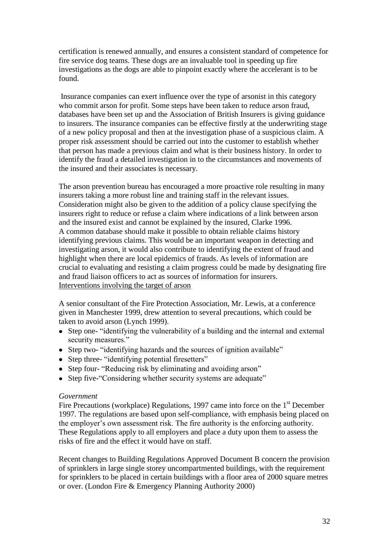certification is renewed annually, and ensures a consistent standard of competence for fire service dog teams. These dogs are an invaluable tool in speeding up fire investigations as the dogs are able to pinpoint exactly where the accelerant is to be found.

Insurance companies can exert influence over the type of arsonist in this category who commit arson for profit. Some steps have been taken to reduce arson fraud, databases have been set up and the Association of British Insurers is giving guidance to insurers. The insurance companies can be effective firstly at the underwriting stage of a new policy proposal and then at the investigation phase of a suspicious claim. A proper risk assessment should be carried out into the customer to establish whether that person has made a previous claim and what is their business history. In order to identify the fraud a detailed investigation in to the circumstances and movements of the insured and their associates is necessary.

The arson prevention bureau has encouraged a more proactive role resulting in many insurers taking a more robust line and training staff in the relevant issues. Consideration might also be given to the addition of a policy clause specifying the insurers right to reduce or refuse a claim where indications of a link between arson and the insured exist and cannot be explained by the insured, Clarke 1996. A common database should make it possible to obtain reliable claims history identifying previous claims. This would be an important weapon in detecting and investigating arson, it would also contribute to identifying the extent of fraud and highlight when there are local epidemics of frauds. As levels of information are crucial to evaluating and resisting a claim progress could be made by designating fire and fraud liaison officers to act as sources of information for insurers. Interventions involving the target of arson

A senior consultant of the Fire Protection Association, Mr. Lewis, at a conference given in Manchester 1999, drew attention to several precautions, which could be taken to avoid arson (Lynch 1999).

- Step one- "identifying the vulnerability of a building and the internal and external security measures."
- Step two- "identifying hazards and the sources of ignition available"
- Step three- "identifying potential firesetters"
- Step four- "Reducing risk by eliminating and avoiding arson"
- Step five-"Considering whether security systems are adequate"

#### *Government*

Fire Precautions (workplace) Regulations, 1997 came into force on the  $1<sup>st</sup>$  December 1997. The regulations are based upon self-compliance, with emphasis being placed on the employer"s own assessment risk. The fire authority is the enforcing authority. These Regulations apply to all employers and place a duty upon them to assess the risks of fire and the effect it would have on staff.

Recent changes to Building Regulations Approved Document B concern the provision of sprinklers in large single storey uncompartmented buildings, with the requirement for sprinklers to be placed in certain buildings with a floor area of 2000 square metres or over. (London Fire & Emergency Planning Authority 2000)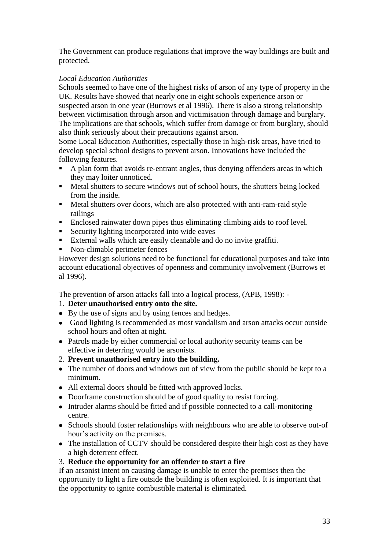The Government can produce regulations that improve the way buildings are built and protected.

# *Local Education Authorities*

Schools seemed to have one of the highest risks of arson of any type of property in the UK. Results have showed that nearly one in eight schools experience arson or suspected arson in one year (Burrows et al 1996). There is also a strong relationship between victimisation through arson and victimisation through damage and burglary. The implications are that schools, which suffer from damage or from burglary, should also think seriously about their precautions against arson.

Some Local Education Authorities, especially those in high-risk areas, have tried to develop special school designs to prevent arson. Innovations have included the following features.

- A plan form that avoids re-entrant angles, thus denying offenders areas in which they may loiter unnoticed.
- Metal shutters to secure windows out of school hours, the shutters being locked from the inside.
- Metal shutters over doors, which are also protected with anti-ram-raid style railings
- Enclosed rainwater down pipes thus eliminating climbing aids to roof level.
- Security lighting incorporated into wide eaves
- External walls which are easily cleanable and do no invite graffiti.
- Non-climable perimeter fences

However design solutions need to be functional for educational purposes and take into account educational objectives of openness and community involvement (Burrows et al 1996).

The prevention of arson attacks fall into a logical process, (APB, 1998): -

## 1. **Deter unauthorised entry onto the site.**

- By the use of signs and by using fences and hedges.
- Good lighting is recommended as most vandalism and arson attacks occur outside school hours and often at night.
- Patrols made by either commercial or local authority security teams can be effective in deterring would be arsonists.
- 2. **Prevent unauthorised entry into the building.**
- The number of doors and windows out of view from the public should be kept to a minimum.
- All external doors should be fitted with approved locks.
- Doorframe construction should be of good quality to resist forcing.
- Intruder alarms should be fitted and if possible connected to a call-monitoring centre.
- Schools should foster relationships with neighbours who are able to observe out-of hour's activity on the premises.
- The installation of CCTV should be considered despite their high cost as they have a high deterrent effect.
- 3. **Reduce the opportunity for an offender to start a fire**

If an arsonist intent on causing damage is unable to enter the premises then the opportunity to light a fire outside the building is often exploited. It is important that the opportunity to ignite combustible material is eliminated.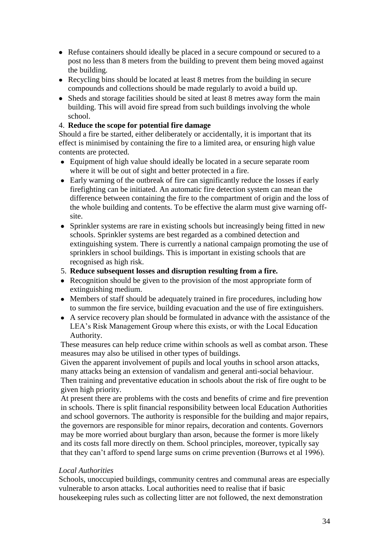- Refuse containers should ideally be placed in a secure compound or secured to a post no less than 8 meters from the building to prevent them being moved against the building.
- Recycling bins should be located at least 8 metres from the building in secure compounds and collections should be made regularly to avoid a build up.
- Sheds and storage facilities should be sited at least 8 metres away form the main building. This will avoid fire spread from such buildings involving the whole school.

### 4. **Reduce the scope for potential fire damage**

Should a fire be started, either deliberately or accidentally, it is important that its effect is minimised by containing the fire to a limited area, or ensuring high value contents are protected.

- Equipment of high value should ideally be located in a secure separate room where it will be out of sight and better protected in a fire.
- Early warning of the outbreak of fire can significantly reduce the losses if early firefighting can be initiated. An automatic fire detection system can mean the difference between containing the fire to the compartment of origin and the loss of the whole building and contents. To be effective the alarm must give warning offsite.
- Sprinkler systems are rare in existing schools but increasingly being fitted in new schools. Sprinkler systems are best regarded as a combined detection and extinguishing system. There is currently a national campaign promoting the use of sprinklers in school buildings. This is important in existing schools that are recognised as high risk.
- 5. **Reduce subsequent losses and disruption resulting from a fire.**
- Recognition should be given to the provision of the most appropriate form of extinguishing medium.
- Members of staff should be adequately trained in fire procedures, including how to summon the fire service, building evacuation and the use of fire extinguishers.
- A service recovery plan should be formulated in advance with the assistance of the LEA"s Risk Management Group where this exists, or with the Local Education Authority.

These measures can help reduce crime within schools as well as combat arson. These measures may also be utilised in other types of buildings.

Given the apparent involvement of pupils and local youths in school arson attacks, many attacks being an extension of vandalism and general anti-social behaviour. Then training and preventative education in schools about the risk of fire ought to be given high priority.

At present there are problems with the costs and benefits of crime and fire prevention in schools. There is split financial responsibility between local Education Authorities and school governors. The authority is responsible for the building and major repairs, the governors are responsible for minor repairs, decoration and contents. Governors may be more worried about burglary than arson, because the former is more likely and its costs fall more directly on them. School principles, moreover, typically say that they can"t afford to spend large sums on crime prevention (Burrows et al 1996).

## *Local Authorities*

Schools, unoccupied buildings, community centres and communal areas are especially vulnerable to arson attacks. Local authorities need to realise that if basic housekeeping rules such as collecting litter are not followed, the next demonstration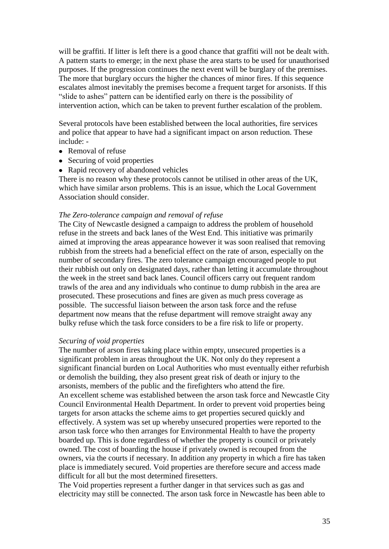will be graffiti. If litter is left there is a good chance that graffiti will not be dealt with. A pattern starts to emerge; in the next phase the area starts to be used for unauthorised purposes. If the progression continues the next event will be burglary of the premises. The more that burglary occurs the higher the chances of minor fires. If this sequence escalates almost inevitably the premises become a frequent target for arsonists. If this "slide to ashes" pattern can be identified early on there is the possibility of intervention action, which can be taken to prevent further escalation of the problem.

Several protocols have been established between the local authorities, fire services and police that appear to have had a significant impact on arson reduction. These include: -

- Removal of refuse
- Securing of void properties
- Rapid recovery of abandoned vehicles

There is no reason why these protocols cannot be utilised in other areas of the UK, which have similar arson problems. This is an issue, which the Local Government Association should consider.

#### *The Zero-tolerance campaign and removal of refuse*

The City of Newcastle designed a campaign to address the problem of household refuse in the streets and back lanes of the West End. This initiative was primarily aimed at improving the areas appearance however it was soon realised that removing rubbish from the streets had a beneficial effect on the rate of arson, especially on the number of secondary fires. The zero tolerance campaign encouraged people to put their rubbish out only on designated days, rather than letting it accumulate throughout the week in the street sand back lanes. Council officers carry out frequent random trawls of the area and any individuals who continue to dump rubbish in the area are prosecuted. These prosecutions and fines are given as much press coverage as possible. The successful liaison between the arson task force and the refuse department now means that the refuse department will remove straight away any bulky refuse which the task force considers to be a fire risk to life or property.

#### *Securing of void properties*

The number of arson fires taking place within empty, unsecured properties is a significant problem in areas throughout the UK. Not only do they represent a significant financial burden on Local Authorities who must eventually either refurbish or demolish the building, they also present great risk of death or injury to the arsonists, members of the public and the firefighters who attend the fire. An excellent scheme was established between the arson task force and Newcastle City Council Environmental Health Department. In order to prevent void properties being targets for arson attacks the scheme aims to get properties secured quickly and effectively. A system was set up whereby unsecured properties were reported to the arson task force who then arranges for Environmental Health to have the property boarded up. This is done regardless of whether the property is council or privately owned. The cost of boarding the house if privately owned is recouped from the owners, via the courts if necessary. In addition any property in which a fire has taken place is immediately secured. Void properties are therefore secure and access made difficult for all but the most determined firesetters.

The Void properties represent a further danger in that services such as gas and electricity may still be connected. The arson task force in Newcastle has been able to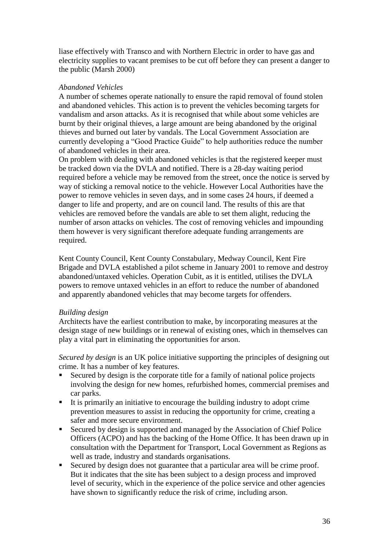liase effectively with Transco and with Northern Electric in order to have gas and electricity supplies to vacant premises to be cut off before they can present a danger to the public (Marsh 2000)

### *Abandoned Vehicles*

A number of schemes operate nationally to ensure the rapid removal of found stolen and abandoned vehicles. This action is to prevent the vehicles becoming targets for vandalism and arson attacks. As it is recognised that while about some vehicles are burnt by their original thieves, a large amount are being abandoned by the original thieves and burned out later by vandals. The Local Government Association are currently developing a "Good Practice Guide" to help authorities reduce the number of abandoned vehicles in their area.

On problem with dealing with abandoned vehicles is that the registered keeper must be tracked down via the DVLA and notified. There is a 28-day waiting period required before a vehicle may be removed from the street, once the notice is served by way of sticking a removal notice to the vehicle. However Local Authorities have the power to remove vehicles in seven days, and in some cases 24 hours, if deemed a danger to life and property, and are on council land. The results of this are that vehicles are removed before the vandals are able to set them alight, reducing the number of arson attacks on vehicles. The cost of removing vehicles and impounding them however is very significant therefore adequate funding arrangements are required.

Kent County Council, Kent County Constabulary, Medway Council, Kent Fire Brigade and DVLA established a pilot scheme in January 2001 to remove and destroy abandoned/untaxed vehicles. Operation Cubit, as it is entitled, utilises the DVLA powers to remove untaxed vehicles in an effort to reduce the number of abandoned and apparently abandoned vehicles that may become targets for offenders.

#### *Building design*

Architects have the earliest contribution to make, by incorporating measures at the design stage of new buildings or in renewal of existing ones, which in themselves can play a vital part in eliminating the opportunities for arson.

*Secured by design* is an UK police initiative supporting the principles of designing out crime. It has a number of key features.

- Secured by design is the corporate title for a family of national police projects involving the design for new homes, refurbished homes, commercial premises and car parks.
- It is primarily an initiative to encourage the building industry to adopt crime prevention measures to assist in reducing the opportunity for crime, creating a safer and more secure environment.
- Secured by design is supported and managed by the Association of Chief Police Officers (ACPO) and has the backing of the Home Office. It has been drawn up in consultation with the Department for Transport, Local Government as Regions as well as trade, industry and standards organisations.
- Secured by design does not guarantee that a particular area will be crime proof. But it indicates that the site has been subject to a design process and improved level of security, which in the experience of the police service and other agencies have shown to significantly reduce the risk of crime, including arson.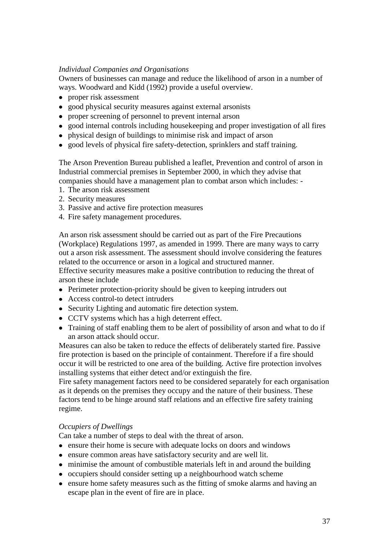# *Individual Companies and Organisations*

Owners of businesses can manage and reduce the likelihood of arson in a number of ways. Woodward and Kidd (1992) provide a useful overview.

- proper risk assessment
- good physical security measures against external arsonists
- proper screening of personnel to prevent internal arson
- good internal controls including housekeeping and proper investigation of all fires
- physical design of buildings to minimise risk and impact of arson
- good levels of physical fire safety-detection, sprinklers and staff training.

The Arson Prevention Bureau published a leaflet, Prevention and control of arson in Industrial commercial premises in September 2000, in which they advise that companies should have a management plan to combat arson which includes: -

- 1. The arson risk assessment
- 2. Security measures
- 3. Passive and active fire protection measures
- 4. Fire safety management procedures.

An arson risk assessment should be carried out as part of the Fire Precautions (Workplace) Regulations 1997, as amended in 1999. There are many ways to carry out a arson risk assessment. The assessment should involve considering the features related to the occurrence or arson in a logical and structured manner. Effective security measures make a positive contribution to reducing the threat of arson these include

- Perimeter protection-priority should be given to keeping intruders out
- Access control-to detect intruders
- Security Lighting and automatic fire detection system.
- CCTV systems which has a high deterrent effect.
- Training of staff enabling them to be alert of possibility of arson and what to do if an arson attack should occur.

Measures can also be taken to reduce the effects of deliberately started fire. Passive fire protection is based on the principle of containment. Therefore if a fire should occur it will be restricted to one area of the building. Active fire protection involves installing systems that either detect and/or extinguish the fire.

Fire safety management factors need to be considered separately for each organisation as it depends on the premises they occupy and the nature of their business. These factors tend to be hinge around staff relations and an effective fire safety training regime.

#### *Occupiers of Dwellings*

Can take a number of steps to deal with the threat of arson.

- ensure their home is secure with adequate locks on doors and windows
- ensure common areas have satisfactory security and are well lit.
- minimise the amount of combustible materials left in and around the building
- occupiers should consider setting up a neighbourhood watch scheme
- ensure home safety measures such as the fitting of smoke alarms and having an escape plan in the event of fire are in place.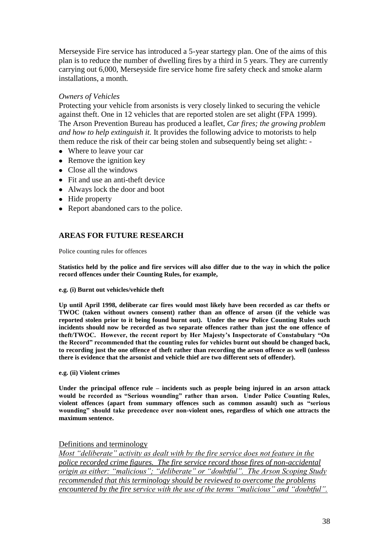Merseyside Fire service has introduced a 5-year startegy plan. One of the aims of this plan is to reduce the number of dwelling fires by a third in 5 years. They are currently carrying out 6,000, Merseyside fire service home fire safety check and smoke alarm installations, a month.

### *Owners of Vehicles*

Protecting your vehicle from arsonists is very closely linked to securing the vehicle against theft. One in 12 vehicles that are reported stolen are set alight (FPA 1999). The Arson Prevention Bureau has produced a leaflet, *Car fires; the growing problem and how to help extinguish it.* It provides the following advice to motorists to help them reduce the risk of their car being stolen and subsequently being set alight: -

- Where to leave your car
- Remove the ignition key
- Close all the windows
- Fit and use an anti-theft device
- Always lock the door and boot
- Hide property
- Report abandoned cars to the police.

### **AREAS FOR FUTURE RESEARCH**

Police counting rules for offences

**Statistics held by the police and fire services will also differ due to the way in which the police record offences under their Counting Rules, for example,**

#### **e.g. (i) Burnt out vehicles/vehicle theft**

**Up until April 1998, deliberate car fires would most likely have been recorded as car thefts or TWOC (taken without owners consent) rather than an offence of arson (if the vehicle was reported stolen prior to it being found burnt out). Under the new Police Counting Rules such incidents should now be recorded as two separate offences rather than just the one offence of theft/TWOC. However, the recent report by Her Majesty's Inspectorate of Constabulary "On the Record" recommended that the counting rules for vehicles burnt out should be changed back, to recording just the one offence of theft rather than recording the arson offence as well (unlesss there is evidence that the arsonist and vehicle thief are two different sets of offender).** 

**e.g. (ii) Violent crimes** 

**Under the principal offence rule – incidents such as people being injured in an arson attack would be recorded as "Serious wounding" rather than arson. Under Police Counting Rules, violent offences (apart from summary offences such as common assault) such as "serious wounding" should take precedence over non-violent ones, regardless of which one attracts the maximum sentence.** 

#### Definitions and terminology

*Most "deliberate" activity as dealt with by the fire service does not feature in the police recorded crime figures. The fire service record those fires of non-accidental origin as either: "malicious"; "deliberate" or "doubtful". The Arson Scoping Study recommended that this terminology should be reviewed to overcome the problems encountered by the fire service with the use of the terms "malicious" and "doubtful".*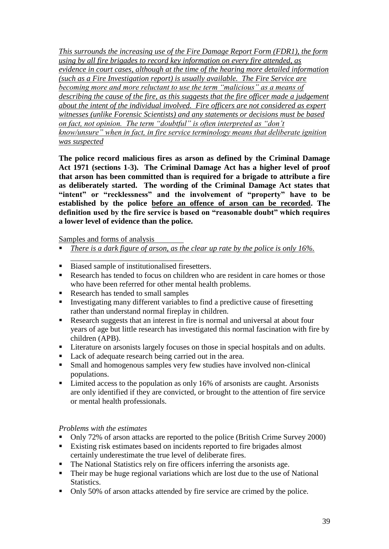*This surrounds the increasing use of the Fire Damage Report Form (FDR1), the form using by all fire brigades to record key information on every fire attended, as evidence in court cases, although at the time of the hearing more detailed information (such as a Fire Investigation report) is usually available. The Fire Service are becoming more and more reluctant to use the term "malicious" as a means of describing the cause of the fire, as this suggests that the fire officer made a judgement about the intent of the individual involved. Fire officers are not considered as expert witnesses (unlike Forensic Scientists) and any statements or decisions must be based on fact, not opinion. The term "doubtful" is often interpreted as "don't know/unsure" when in fact, in fire service terminology means that deliberate ignition was suspected* 

**The police record malicious fires as arson as defined by the Criminal Damage Act 1971 (sections 1-3). The Criminal Damage Act has a higher level of proof that arson has been committed than is required for a brigade to attribute a fire as deliberately started. The wording of the Criminal Damage Act states that "intent" or "recklessness" and the involvement of "property" have to be established by the police before an offence of arson can be recorded. The definition used by the fire service is based on "reasonable doubt" which requires a lower level of evidence than the police.** 

Samples and forms of analysis

- *There is a dark figure of arson, as the clear up rate by the police is only 16%.*
- Biased sample of institutionalised firesetters.
- Research has tended to focus on children who are resident in care homes or those who have been referred for other mental health problems.
- Research has tended to small samples
- **Investigating many different variables to find a predictive cause of firesetting** rather than understand normal fireplay in children.
- Research suggests that an interest in fire is normal and universal at about four years of age but little research has investigated this normal fascination with fire by children (APB).
- Literature on arsonists largely focuses on those in special hospitals and on adults.<br>■ Lack of adequate research being carried out in the area.
- Lack of adequate research being carried out in the area.
- Small and homogenous samples very few studies have involved non-clinical populations.
- Limited access to the population as only 16% of arsonists are caught. Arsonists are only identified if they are convicted, or brought to the attention of fire service or mental health professionals.

## *Problems with the estimates*

- Only 72% of arson attacks are reported to the police (British Crime Survey 2000)
- Existing risk estimates based on incidents reported to fire brigades almost certainly underestimate the true level of deliberate fires.
- The National Statistics rely on fire officers inferring the arsonists age.
- Their may be huge regional variations which are lost due to the use of National Statistics.
- Only 50% of arson attacks attended by fire service are crimed by the police.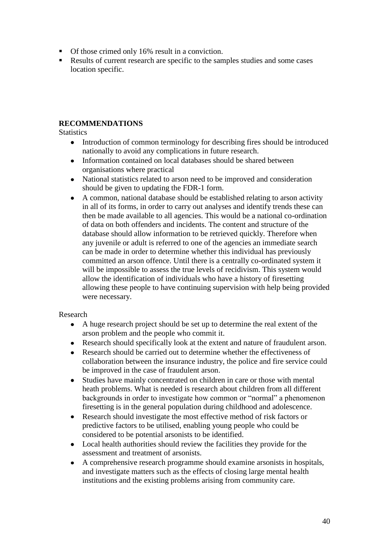- Of those crimed only 16% result in a conviction.
- Results of current research are specific to the samples studies and some cases location specific.

# **RECOMMENDATIONS**

**Statistics** 

- $\bullet$ Introduction of common terminology for describing fires should be introduced nationally to avoid any complications in future research.
- Information contained on local databases should be shared between  $\bullet$ organisations where practical
- $\bullet$ National statistics related to arson need to be improved and consideration should be given to updating the FDR-1 form.
- A common, national database should be established relating to arson activity  $\bullet$ in all of its forms, in order to carry out analyses and identify trends these can then be made available to all agencies. This would be a national co-ordination of data on both offenders and incidents. The content and structure of the database should allow information to be retrieved quickly. Therefore when any juvenile or adult is referred to one of the agencies an immediate search can be made in order to determine whether this individual has previously committed an arson offence. Until there is a centrally co-ordinated system it will be impossible to assess the true levels of recidivism. This system would allow the identification of individuals who have a history of firesetting allowing these people to have continuing supervision with help being provided were necessary.

## Research

- A huge research project should be set up to determine the real extent of the  $\bullet$ arson problem and the people who commit it.
- $\bullet$ Research should specifically look at the extent and nature of fraudulent arson.
- Research should be carried out to determine whether the effectiveness of  $\bullet$ collaboration between the insurance industry, the police and fire service could be improved in the case of fraudulent arson.
- Studies have mainly concentrated on children in care or those with mental  $\bullet$ heath problems. What is needed is research about children from all different backgrounds in order to investigate how common or "normal" a phenomenon firesetting is in the general population during childhood and adolescence.
- Research should investigate the most effective method of risk factors or  $\bullet$ predictive factors to be utilised, enabling young people who could be considered to be potential arsonists to be identified.
- Local health authorities should review the facilities they provide for the assessment and treatment of arsonists.
- A comprehensive research programme should examine arsonists in hospitals,  $\bullet$ and investigate matters such as the effects of closing large mental health institutions and the existing problems arising from community care.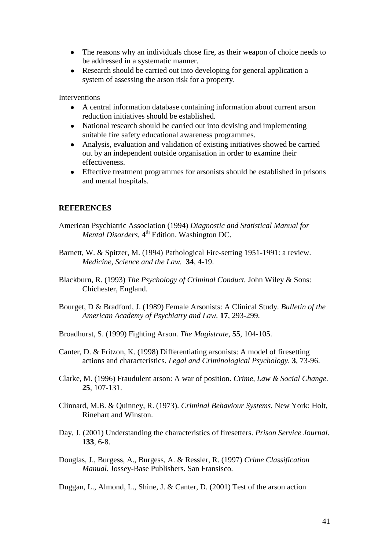- The reasons why an individuals chose fire, as their weapon of choice needs to be addressed in a systematic manner.
- Research should be carried out into developing for general application a  $\bullet$ system of assessing the arson risk for a property.

Interventions

- $\bullet$ A central information database containing information about current arson reduction initiatives should be established.
- National research should be carried out into devising and implementing suitable fire safety educational awareness programmes.
- Analysis, evaluation and validation of existing initiatives showed be carried out by an independent outside organisation in order to examine their effectiveness.
- Effective treatment programmes for arsonists should be established in prisons and mental hospitals.

### **REFERENCES**

- American Psychiatric Association (1994) *Diagnostic and Statistical Manual for*  Mental Disorders, 4<sup>th</sup> Edition. Washington DC.
- Barnett, W. & Spitzer, M. (1994) Pathological Fire-setting 1951-1991: a review. *Medicine, Science and the Law.* **34**, 4-19.
- Blackburn, R. (1993) *The Psychology of Criminal Conduct.* John Wiley & Sons: Chichester, England.
- Bourget, D & Bradford, J. (1989) Female Arsonists: A Clinical Study. *Bulletin of the American Academy of Psychiatry and Law.* **17**, 293-299.
- Broadhurst, S. (1999) Fighting Arson. *The Magistrate,* **55**, 104-105.
- Canter, D. & Fritzon, K. (1998) Differentiating arsonists: A model of firesetting actions and characteristics. *Legal and Criminological Psychology.* **3**, 73-96.
- Clarke, M. (1996) Fraudulent arson: A war of position. *Crime, Law & Social Change.*  **25**, 107-131.
- Clinnard, M.B. & Quinney, R. (1973). *Criminal Behaviour Systems.* New York: Holt, Rinehart and Winston.
- Day, J. (2001) Understanding the characteristics of firesetters. *Prison Service Journal.*  **133**, 6-8.
- Douglas, J., Burgess, A., Burgess, A. & Ressler, R. (1997) *Crime Classification Manual*. Jossey-Base Publishers. San Fransisco.

Duggan, L., Almond, L., Shine, J. & Canter, D. (2001) Test of the arson action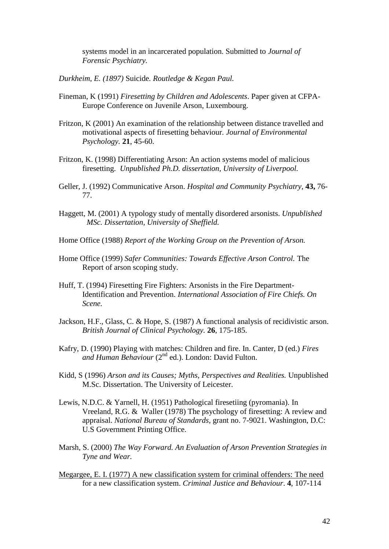systems model in an incarcerated population. Submitted to *Journal of Forensic Psychiatry.*

*Durkheim, E. (1897)* Suicide*. Routledge & Kegan Paul.*

- Fineman, K (1991) *Firesetting by Children and Adolescents*. Paper given at CFPA-Europe Conference on Juvenile Arson, Luxembourg.
- Fritzon, K (2001) An examination of the relationship between distance travelled and motivational aspects of firesetting behaviour. *Journal of Environmental Psychology.* **21**, 45-60.
- Fritzon, K. (1998) Differentiating Arson: An action systems model of malicious firesetting. *Unpublished Ph.D. dissertation, University of Liverpool.*
- Geller, J. (1992) Communicative Arson. *Hospital and Community Psychiatry,* **43,** 76- 77.
- Haggett, M. (2001) A typology study of mentally disordered arsonists. *Unpublished MSc. Dissertation, University of Sheffield.*
- Home Office (1988) *Report of the Working Group on the Prevention of Arson.*
- Home Office (1999) *Safer Communities: Towards Effective Arson Control.* The Report of arson scoping study.
- Huff, T. (1994) Firesetting Fire Fighters: Arsonists in the Fire Department-Identification and Prevention. *International Association of Fire Chiefs. On Scene.*
- Jackson, H.F., Glass, C. & Hope, S. (1987) A functional analysis of recidivistic arson. *British Journal of Clinical Psychology.* **26**, 175-185.
- Kafry, D. (1990) Playing with matches: Children and fire. In. Canter, D (ed.) *Fires and Human Behaviour* (2nd ed.). London: David Fulton.
- Kidd, S (1996) *Arson and its Causes; Myths, Perspectives and Realities.* Unpublished M.Sc. Dissertation. The University of Leicester.
- Lewis, N.D.C. & Yarnell, H. (1951) Pathological firesetiing (pyromania). In Vreeland, R.G. & Waller (1978) The psychology of firesetting: A review and appraisal. *National Bureau of Standards,* grant no. 7-9021. Washington, D.C: U.S Government Printing Office.
- Marsh, S. (2000) *The Way Forward. An Evaluation of Arson Prevention Strategies in Tyne and Wear.*
- Megargee, E. I. (1977) A new classification system for criminal offenders: The need for a new classification system. *Criminal Justice and Behaviour*. **4**, 107-114